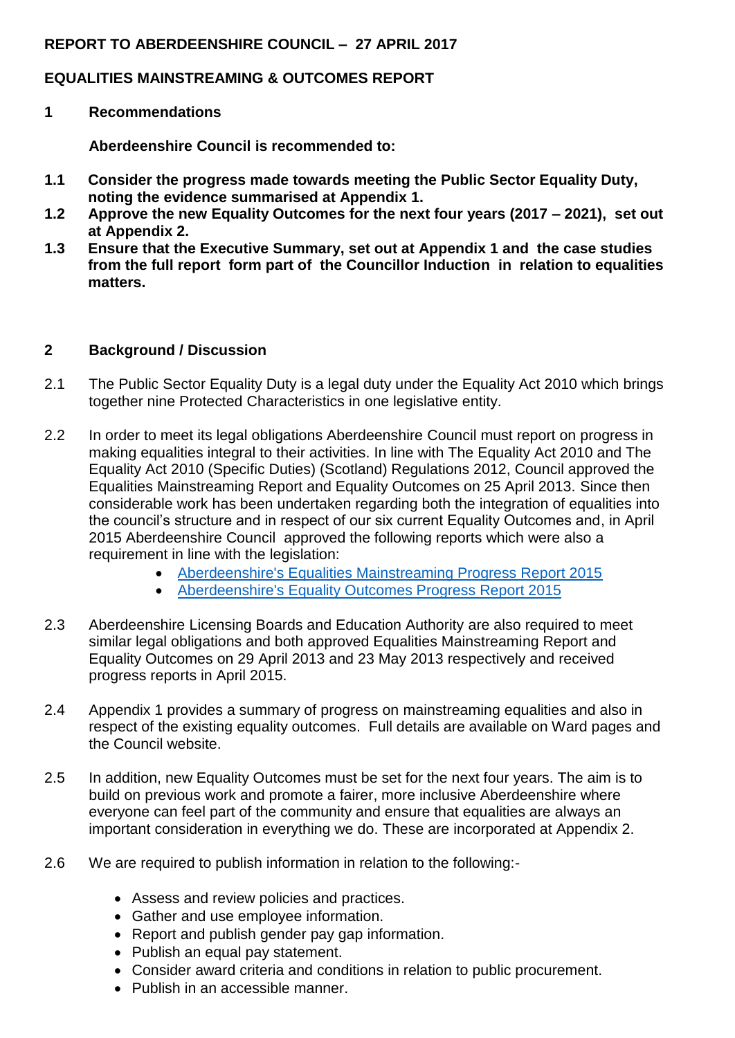#### **REPORT TO ABERDEENSHIRE COUNCIL – 27 APRIL 2017**

### **EQUALITIES MAINSTREAMING & OUTCOMES REPORT**

**1 Recommendations**

**Aberdeenshire Council is recommended to:**

- **1.1 Consider the progress made towards meeting the Public Sector Equality Duty, noting the evidence summarised at Appendix 1.**
- **1.2 Approve the new Equality Outcomes for the next four years (2017 – 2021), set out at Appendix 2.**
- **1.3 Ensure that the Executive Summary, set out at Appendix 1 and the case studies from the full report form part of the Councillor Induction in relation to equalities matters.**

#### **2 Background / Discussion**

- 2.1 The Public Sector Equality Duty is a legal duty under the Equality Act 2010 which brings together nine Protected Characteristics in one legislative entity.
- 2.2 In order to meet its legal obligations Aberdeenshire Council must report on progress in making equalities integral to their activities. In line with The Equality Act 2010 and The Equality Act 2010 (Specific Duties) (Scotland) Regulations 2012, Council approved the Equalities Mainstreaming Report and Equality Outcomes on 25 April 2013. Since then considerable work has been undertaken regarding both the integration of equalities into the council's structure and in respect of our six current Equality Outcomes and, in April 2015 Aberdeenshire Council approved the following reports which were also a requirement in line with the legislation:
	- [Aberdeenshire's Equalities Mainstreaming Progress Report 2015](11062015aberdeenshiresequalitiesmainstreamingprogressreport2015)
	- [Aberdeenshire's Equality Outcomes Progress Report 2015](aberdeenshires-equality-outcomes-progress-report-2015)
- 2.3 Aberdeenshire Licensing Boards and Education Authority are also required to meet similar legal obligations and both approved Equalities Mainstreaming Report and Equality Outcomes on 29 April 2013 and 23 May 2013 respectively and received progress reports in April 2015.
- 2.4 Appendix 1 provides a summary of progress on mainstreaming equalities and also in respect of the existing equality outcomes. Full details are available on Ward pages and the Council website.
- 2.5 In addition, new Equality Outcomes must be set for the next four years. The aim is to build on previous work and promote a fairer, more inclusive Aberdeenshire where everyone can feel part of the community and ensure that equalities are always an important consideration in everything we do. These are incorporated at Appendix 2.
- 2.6 We are required to publish information in relation to the following:-
	- Assess and review policies and practices.
	- Gather and use employee information.
	- Report and publish gender pay gap information.
	- Publish an equal pay statement.
	- Consider award criteria and conditions in relation to public procurement.
	- Publish in an accessible manner.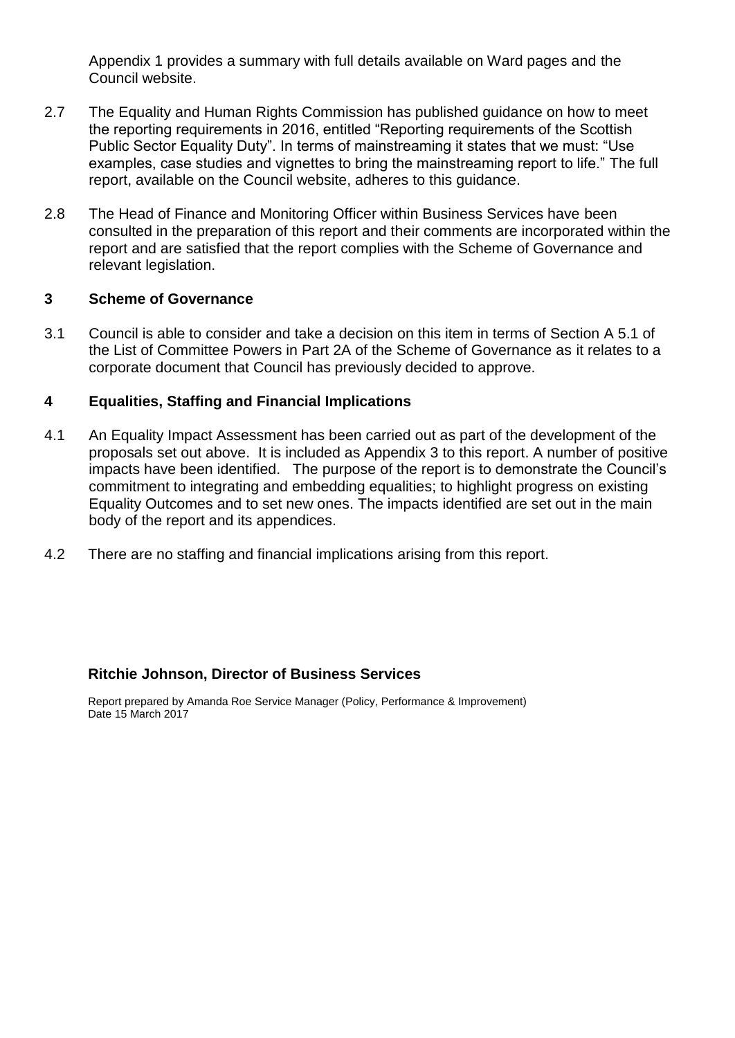Appendix 1 provides a summary with full details available on Ward pages and the Council website.

- 2.7 The Equality and Human Rights Commission has published guidance on how to meet the reporting requirements in 2016, entitled "Reporting requirements of the Scottish Public Sector Equality Duty". In terms of mainstreaming it states that we must: "Use examples, case studies and vignettes to bring the mainstreaming report to life." The full report, available on the Council website, adheres to this guidance.
- 2.8 The Head of Finance and Monitoring Officer within Business Services have been consulted in the preparation of this report and their comments are incorporated within the report and are satisfied that the report complies with the Scheme of Governance and relevant legislation.

#### **3 Scheme of Governance**

3.1 Council is able to consider and take a decision on this item in terms of Section A 5.1 of the List of Committee Powers in Part 2A of the Scheme of Governance as it relates to a corporate document that Council has previously decided to approve.

#### **4 Equalities, Staffing and Financial Implications**

- 4.1 An Equality Impact Assessment has been carried out as part of the development of the proposals set out above. It is included as Appendix 3 to this report. A number of positive impacts have been identified. The purpose of the report is to demonstrate the Council's commitment to integrating and embedding equalities; to highlight progress on existing Equality Outcomes and to set new ones. The impacts identified are set out in the main body of the report and its appendices.
- 4.2 There are no staffing and financial implications arising from this report.

#### **Ritchie Johnson, Director of Business Services**

Report prepared by Amanda Roe Service Manager (Policy, Performance & Improvement) Date 15 March 2017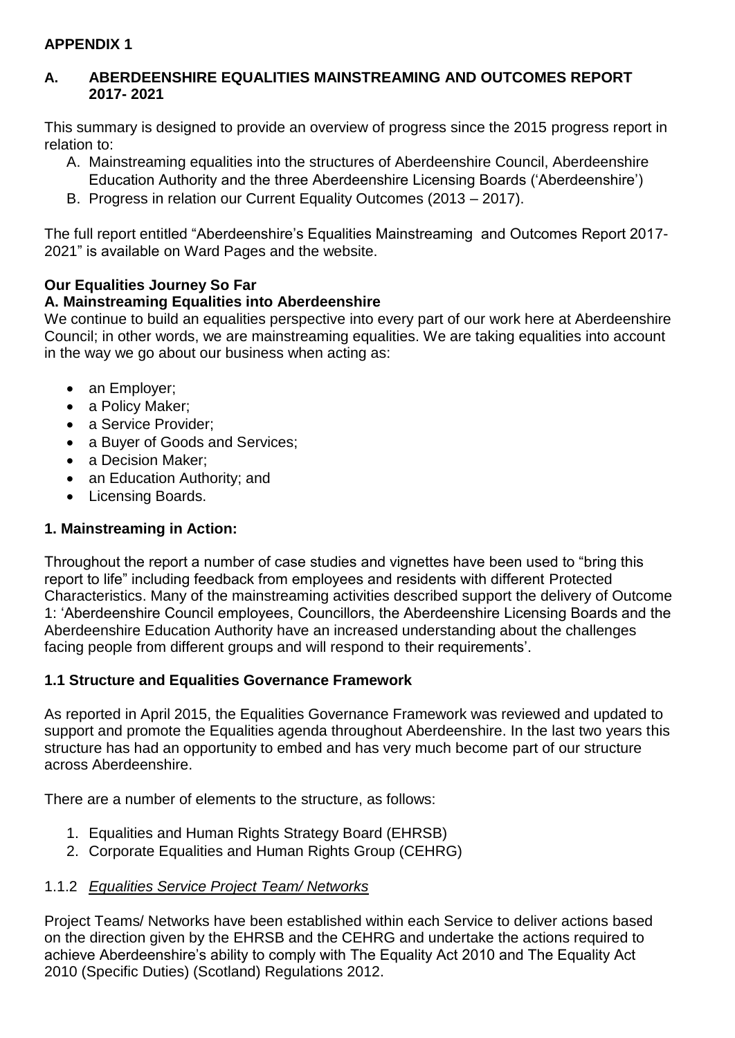### **APPENDIX 1**

### **A. ABERDEENSHIRE EQUALITIES MAINSTREAMING AND OUTCOMES REPORT 2017- 2021**

This summary is designed to provide an overview of progress since the 2015 progress report in relation to:

- A. Mainstreaming equalities into the structures of Aberdeenshire Council, Aberdeenshire Education Authority and the three Aberdeenshire Licensing Boards ('Aberdeenshire')
- B. Progress in relation our Current Equality Outcomes (2013 2017).

The full report entitled "Aberdeenshire's Equalities Mainstreaming and Outcomes Report 2017- 2021" is available on Ward Pages and the website.

## **Our Equalities Journey So Far**

## **A. Mainstreaming Equalities into Aberdeenshire**

We continue to build an equalities perspective into every part of our work here at Aberdeenshire Council; in other words, we are mainstreaming equalities. We are taking equalities into account in the way we go about our business when acting as:

- an Employer;
- a Policy Maker;
- a Service Provider;
- a Buyer of Goods and Services;
- a Decision Maker:
- an Education Authority; and
- Licensing Boards.

# **1. Mainstreaming in Action:**

Throughout the report a number of case studies and vignettes have been used to "bring this report to life" including feedback from employees and residents with different Protected Characteristics. Many of the mainstreaming activities described support the delivery of Outcome 1: 'Aberdeenshire Council employees, Councillors, the Aberdeenshire Licensing Boards and the Aberdeenshire Education Authority have an increased understanding about the challenges facing people from different groups and will respond to their requirements'.

### **1.1 Structure and Equalities Governance Framework**

As reported in April 2015, the Equalities Governance Framework was reviewed and updated to support and promote the Equalities agenda throughout Aberdeenshire. In the last two years this structure has had an opportunity to embed and has very much become part of our structure across Aberdeenshire.

There are a number of elements to the structure, as follows:

- 1. Equalities and Human Rights Strategy Board (EHRSB)
- 2. Corporate Equalities and Human Rights Group (CEHRG)

### 1.1.2 *Equalities Service Project Team/ Networks*

Project Teams/ Networks have been established within each Service to deliver actions based on the direction given by the EHRSB and the CEHRG and undertake the actions required to achieve Aberdeenshire's ability to comply with The Equality Act 2010 and The Equality Act 2010 (Specific Duties) (Scotland) Regulations 2012.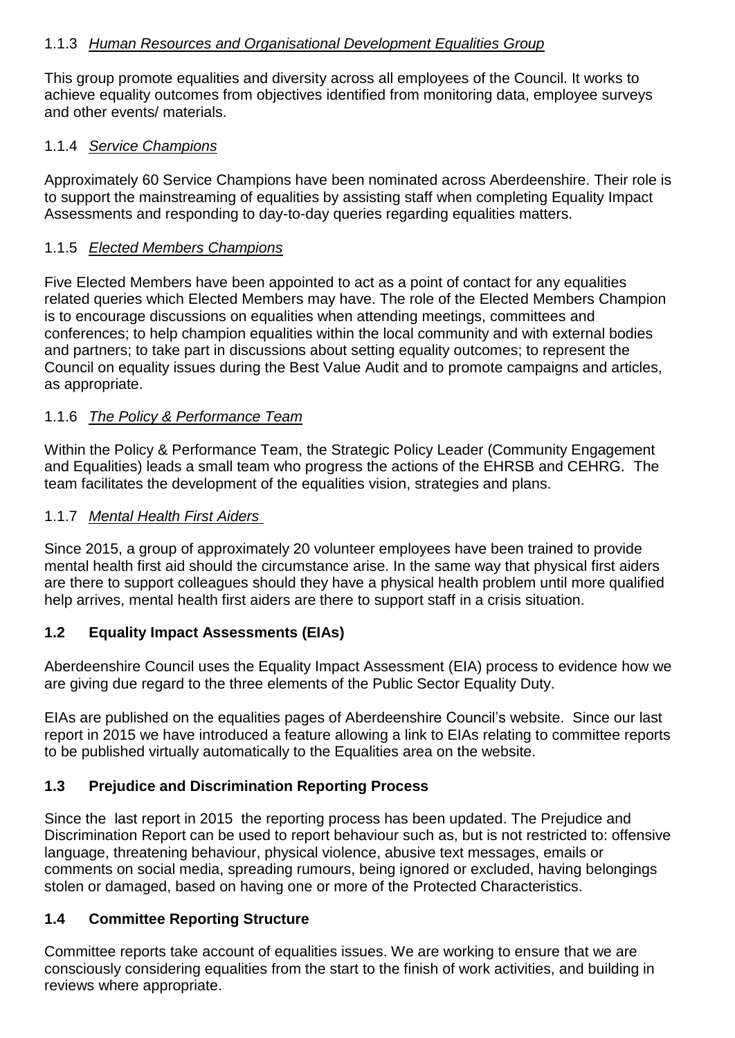### 1.1.3 *Human Resources and Organisational Development Equalities Group*

This group promote equalities and diversity across all employees of the Council. It works to achieve equality outcomes from objectives identified from monitoring data, employee surveys and other events/ materials.

### 1.1.4 *Service Champions*

Approximately 60 Service Champions have been nominated across Aberdeenshire. Their role is to support the mainstreaming of equalities by assisting staff when completing Equality Impact Assessments and responding to day-to-day queries regarding equalities matters.

### 1.1.5 *Elected Members Champions*

Five Elected Members have been appointed to act as a point of contact for any equalities related queries which Elected Members may have. The role of the Elected Members Champion is to encourage discussions on equalities when attending meetings, committees and conferences; to help champion equalities within the local community and with external bodies and partners; to take part in discussions about setting equality outcomes; to represent the Council on equality issues during the Best Value Audit and to promote campaigns and articles, as appropriate.

#### 1.1.6 *The Policy & Performance Team*

Within the Policy & Performance Team, the Strategic Policy Leader (Community Engagement and Equalities) leads a small team who progress the actions of the EHRSB and CEHRG. The team facilitates the development of the equalities vision, strategies and plans.

#### 1.1.7 *Mental Health First Aiders*

Since 2015, a group of approximately 20 volunteer employees have been trained to provide mental health first aid should the circumstance arise. In the same way that physical first aiders are there to support colleagues should they have a physical health problem until more qualified help arrives, mental health first aiders are there to support staff in a crisis situation.

### **1.2 Equality Impact Assessments (EIAs)**

Aberdeenshire Council uses the Equality Impact Assessment (EIA) process to evidence how we are giving due regard to the three elements of the Public Sector Equality Duty.

EIAs are published on the equalities pages of Aberdeenshire Council's website. Since our last report in 2015 we have introduced a feature allowing a link to EIAs relating to committee reports to be published virtually automatically to the Equalities area on the website.

### **1.3 Prejudice and Discrimination Reporting Process**

Since the last report in 2015 the reporting process has been updated. The Prejudice and Discrimination Report can be used to report behaviour such as, but is not restricted to: offensive language, threatening behaviour, physical violence, abusive text messages, emails or comments on social media, spreading rumours, being ignored or excluded, having belongings stolen or damaged, based on having one or more of the Protected Characteristics.

### **1.4 Committee Reporting Structure**

Committee reports take account of equalities issues. We are working to ensure that we are consciously considering equalities from the start to the finish of work activities, and building in reviews where appropriate.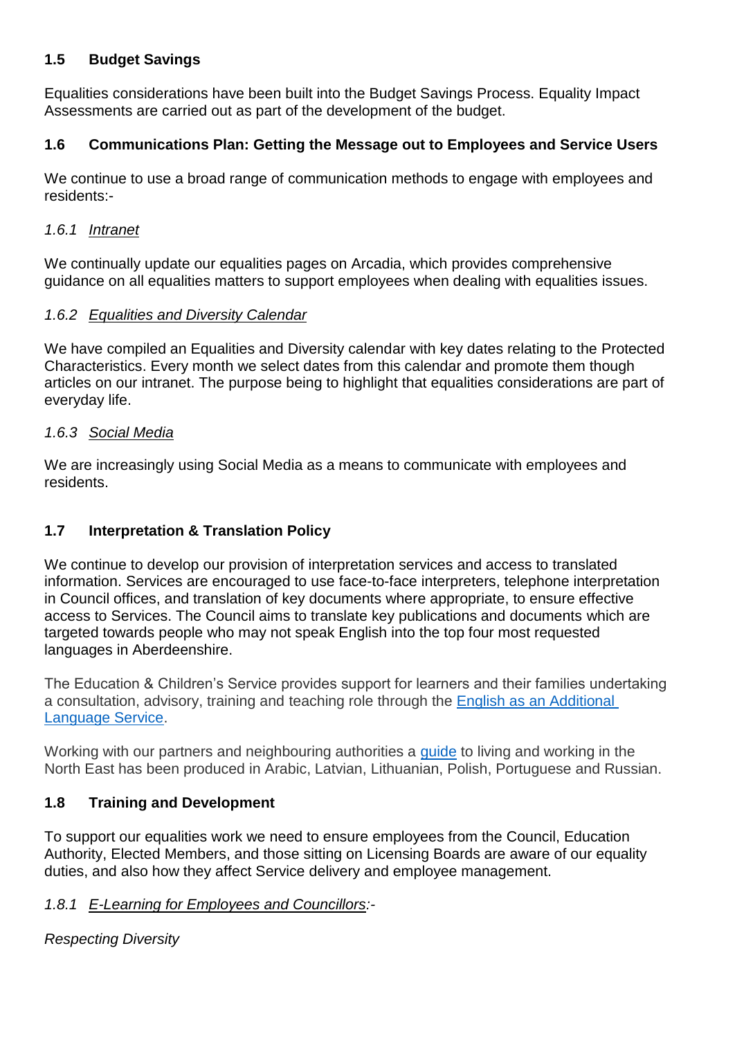### **1.5 Budget Savings**

Equalities considerations have been built into the Budget Savings Process. Equality Impact Assessments are carried out as part of the development of the budget.

## **1.6 Communications Plan: Getting the Message out to Employees and Service Users**

We continue to use a broad range of communication methods to engage with employees and residents:-

### *1.6.1 Intranet*

We continually update our equalities pages on Arcadia, which provides comprehensive guidance on all equalities matters to support employees when dealing with equalities issues.

### *1.6.2 Equalities and Diversity Calendar*

We have compiled an Equalities and Diversity calendar with key dates relating to the Protected Characteristics. Every month we select dates from this calendar and promote them though articles on our intranet. The purpose being to highlight that equalities considerations are part of everyday life.

#### *1.6.3 Social Media*

We are increasingly using Social Media as a means to communicate with employees and residents.

### **1.7 Interpretation & Translation Policy**

We continue to develop our provision of interpretation services and access to translated information. Services are encouraged to use face-to-face interpreters, telephone interpretation in Council offices, and translation of key documents where appropriate, to ensure effective access to Services. The Council aims to translate key publications and documents which are targeted towards people who may not speak English into the top four most requested languages in Aberdeenshire.

The Education & Children's Service provides support for learners and their families undertaking a consultation, advisory, training and teaching role through the [English as an Additional](https://www.aberdeenshire.gov.uk/schools/additional-support-needs/english-as-an-additional-language/)  [Language Service.](https://www.aberdeenshire.gov.uk/schools/additional-support-needs/english-as-an-additional-language/)

Working with our partners and neighbouring authorities a [guide](http://www.aberdeenshirecommunitysafety.org.uk/welcome_leaflet/index.html) to living and working in the North East has been produced in Arabic, Latvian, Lithuanian, Polish, Portuguese and Russian.

# **1.8 Training and Development**

To support our equalities work we need to ensure employees from the Council, Education Authority, Elected Members, and those sitting on Licensing Boards are aware of our equality duties, and also how they affect Service delivery and employee management.

### *1.8.1 E-Learning for Employees and Councillors:-*

*Respecting Diversity*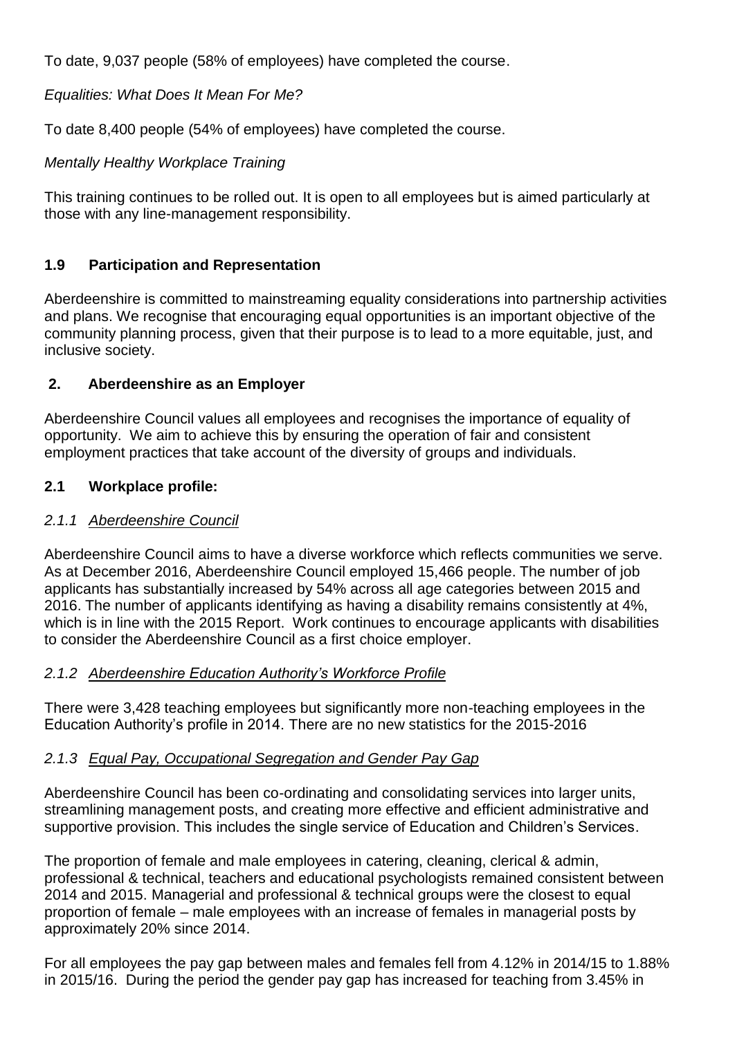To date, 9,037 people (58% of employees) have completed the course.

### *Equalities: What Does It Mean For Me?*

To date 8,400 people (54% of employees) have completed the course.

### *Mentally Healthy Workplace Training*

This training continues to be rolled out. It is open to all employees but is aimed particularly at those with any line-management responsibility.

## **1.9 Participation and Representation**

Aberdeenshire is committed to mainstreaming equality considerations into partnership activities and plans. We recognise that encouraging equal opportunities is an important objective of the community planning process, given that their purpose is to lead to a more equitable, just, and inclusive society.

## **2. Aberdeenshire as an Employer**

Aberdeenshire Council values all employees and recognises the importance of equality of opportunity. We aim to achieve this by ensuring the operation of fair and consistent employment practices that take account of the diversity of groups and individuals.

## **2.1 Workplace profile:**

### *2.1.1 Aberdeenshire Council*

Aberdeenshire Council aims to have a diverse workforce which reflects communities we serve. As at December 2016, Aberdeenshire Council employed 15,466 people. The number of job applicants has substantially increased by 54% across all age categories between 2015 and 2016. The number of applicants identifying as having a disability remains consistently at 4%, which is in line with the 2015 Report. Work continues to encourage applicants with disabilities to consider the Aberdeenshire Council as a first choice employer.

### *2.1.2 Aberdeenshire Education Authority's Workforce Profile*

There were 3,428 teaching employees but significantly more non-teaching employees in the Education Authority's profile in 2014. There are no new statistics for the 2015-2016

### *2.1.3 Equal Pay, Occupational Segregation and Gender Pay Gap*

Aberdeenshire Council has been co-ordinating and consolidating services into larger units, streamlining management posts, and creating more effective and efficient administrative and supportive provision. This includes the single service of Education and Children's Services.

The proportion of female and male employees in catering, cleaning, clerical & admin, professional & technical, teachers and educational psychologists remained consistent between 2014 and 2015. Managerial and professional & technical groups were the closest to equal proportion of female – male employees with an increase of females in managerial posts by approximately 20% since 2014.

For all employees the pay gap between males and females fell from 4.12% in 2014/15 to 1.88% in 2015/16. During the period the gender pay gap has increased for teaching from 3.45% in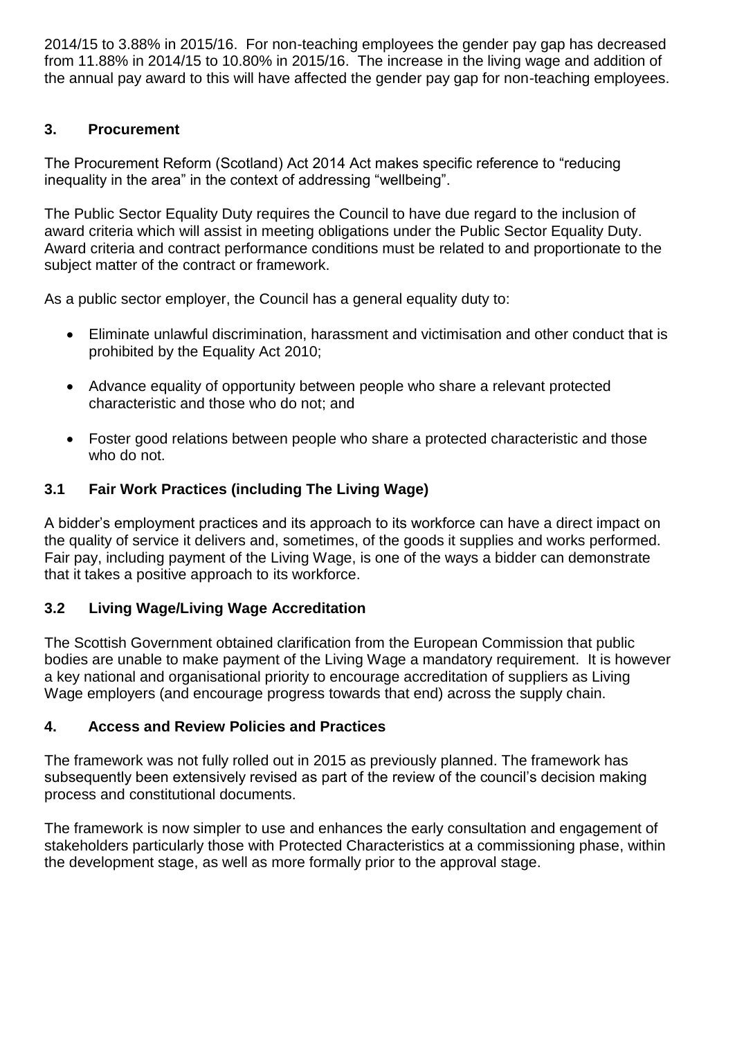2014/15 to 3.88% in 2015/16. For non-teaching employees the gender pay gap has decreased from 11.88% in 2014/15 to 10.80% in 2015/16. The increase in the living wage and addition of the annual pay award to this will have affected the gender pay gap for non-teaching employees.

## **3. Procurement**

The Procurement Reform (Scotland) Act 2014 Act makes specific reference to "reducing inequality in the area" in the context of addressing "wellbeing".

The Public Sector Equality Duty requires the Council to have due regard to the inclusion of award criteria which will assist in meeting obligations under the Public Sector Equality Duty. Award criteria and contract performance conditions must be related to and proportionate to the subject matter of the contract or framework.

As a public sector employer, the Council has a general equality duty to:

- Eliminate unlawful discrimination, harassment and victimisation and other conduct that is prohibited by the Equality Act 2010;
- Advance equality of opportunity between people who share a relevant protected characteristic and those who do not; and
- Foster good relations between people who share a protected characteristic and those who do not.

# **3.1 Fair Work Practices (including The Living Wage)**

A bidder's employment practices and its approach to its workforce can have a direct impact on the quality of service it delivers and, sometimes, of the goods it supplies and works performed. Fair pay, including payment of the Living Wage, is one of the ways a bidder can demonstrate that it takes a positive approach to its workforce.

### **3.2 Living Wage/Living Wage Accreditation**

The Scottish Government obtained clarification from the European Commission that public bodies are unable to make payment of the Living Wage a mandatory requirement. It is however a key national and organisational priority to encourage accreditation of suppliers as Living Wage employers (and encourage progress towards that end) across the supply chain.

### **4. Access and Review Policies and Practices**

The framework was not fully rolled out in 2015 as previously planned. The framework has subsequently been extensively revised as part of the review of the council's decision making process and constitutional documents.

The framework is now simpler to use and enhances the early consultation and engagement of stakeholders particularly those with Protected Characteristics at a commissioning phase, within the development stage, as well as more formally prior to the approval stage.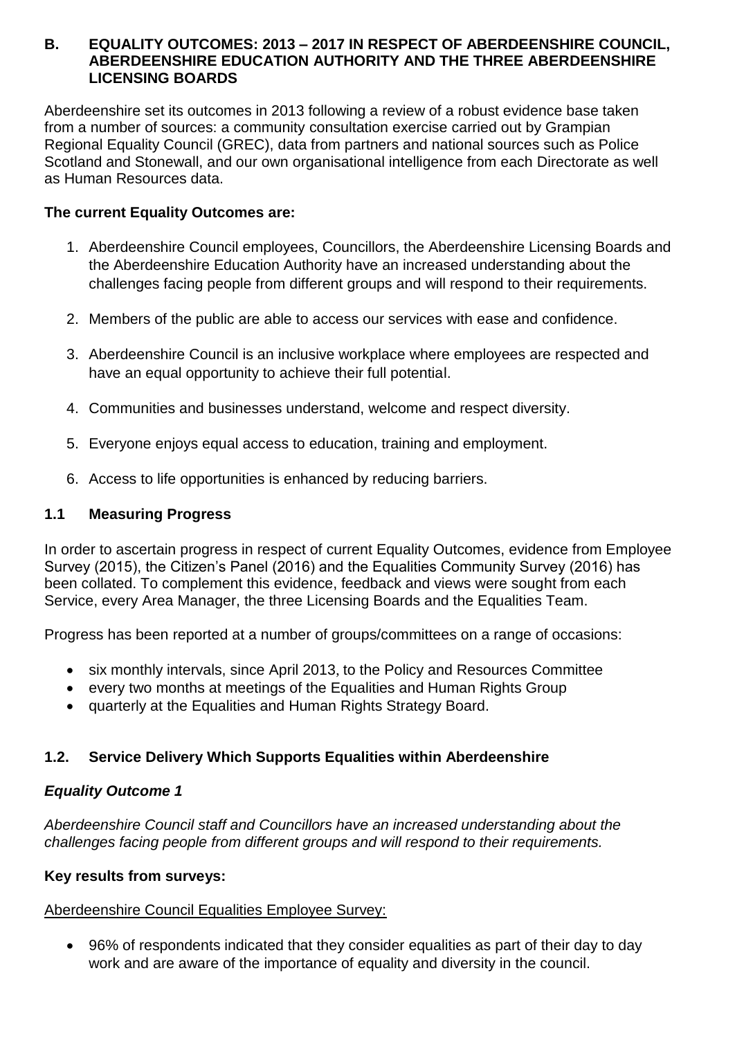#### **B. EQUALITY OUTCOMES: 2013 – 2017 IN RESPECT OF ABERDEENSHIRE COUNCIL, ABERDEENSHIRE EDUCATION AUTHORITY AND THE THREE ABERDEENSHIRE LICENSING BOARDS**

Aberdeenshire set its outcomes in 2013 following a review of a robust evidence base taken from a number of sources: a community consultation exercise carried out by Grampian Regional Equality Council (GREC), data from partners and national sources such as Police Scotland and Stonewall, and our own organisational intelligence from each Directorate as well as Human Resources data.

### **The current Equality Outcomes are:**

- 1. Aberdeenshire Council employees, Councillors, the Aberdeenshire Licensing Boards and the Aberdeenshire Education Authority have an increased understanding about the challenges facing people from different groups and will respond to their requirements.
- 2. Members of the public are able to access our services with ease and confidence.
- 3. Aberdeenshire Council is an inclusive workplace where employees are respected and have an equal opportunity to achieve their full potential.
- 4. Communities and businesses understand, welcome and respect diversity.
- 5. Everyone enjoys equal access to education, training and employment.
- 6. Access to life opportunities is enhanced by reducing barriers.

## **1.1 Measuring Progress**

In order to ascertain progress in respect of current Equality Outcomes, evidence from Employee Survey (2015), the Citizen's Panel (2016) and the Equalities Community Survey (2016) has been collated. To complement this evidence, feedback and views were sought from each Service, every Area Manager, the three Licensing Boards and the Equalities Team.

Progress has been reported at a number of groups/committees on a range of occasions:

- six monthly intervals, since April 2013, to the Policy and Resources Committee
- every two months at meetings of the Equalities and Human Rights Group
- quarterly at the Equalities and Human Rights Strategy Board.

# **1.2. Service Delivery Which Supports Equalities within Aberdeenshire**

# *Equality Outcome 1*

*Aberdeenshire Council staff and Councillors have an increased understanding about the challenges facing people from different groups and will respond to their requirements.*

### **Key results from surveys:**

### Aberdeenshire Council Equalities Employee Survey:

 96% of respondents indicated that they consider equalities as part of their day to day work and are aware of the importance of equality and diversity in the council.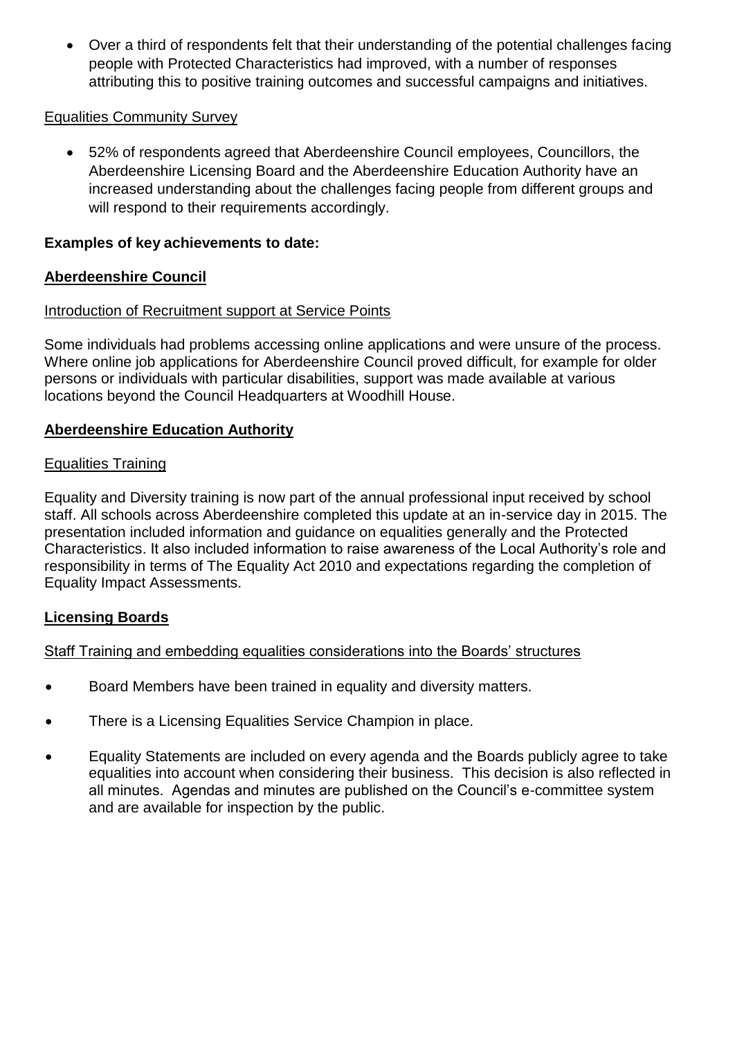Over a third of respondents felt that their understanding of the potential challenges facing people with Protected Characteristics had improved, with a number of responses attributing this to positive training outcomes and successful campaigns and initiatives.

### Equalities Community Survey

 52% of respondents agreed that Aberdeenshire Council employees, Councillors, the Aberdeenshire Licensing Board and the Aberdeenshire Education Authority have an increased understanding about the challenges facing people from different groups and will respond to their requirements accordingly.

### **Examples of key achievements to date:**

### **Aberdeenshire Council**

#### Introduction of Recruitment support at Service Points

Some individuals had problems accessing online applications and were unsure of the process. Where online job applications for Aberdeenshire Council proved difficult, for example for older persons or individuals with particular disabilities, support was made available at various locations beyond the Council Headquarters at Woodhill House.

#### **Aberdeenshire Education Authority**

#### Equalities Training

Equality and Diversity training is now part of the annual professional input received by school staff. All schools across Aberdeenshire completed this update at an in-service day in 2015. The presentation included information and guidance on equalities generally and the Protected Characteristics. It also included information to raise awareness of the Local Authority's role and responsibility in terms of The Equality Act 2010 and expectations regarding the completion of Equality Impact Assessments.

#### **Licensing Boards**

#### Staff Training and embedding equalities considerations into the Boards' structures

- Board Members have been trained in equality and diversity matters.
- There is a Licensing Equalities Service Champion in place.
- Equality Statements are included on every agenda and the Boards publicly agree to take equalities into account when considering their business. This decision is also reflected in all minutes. Agendas and minutes are published on the Council's e-committee system and are available for inspection by the public.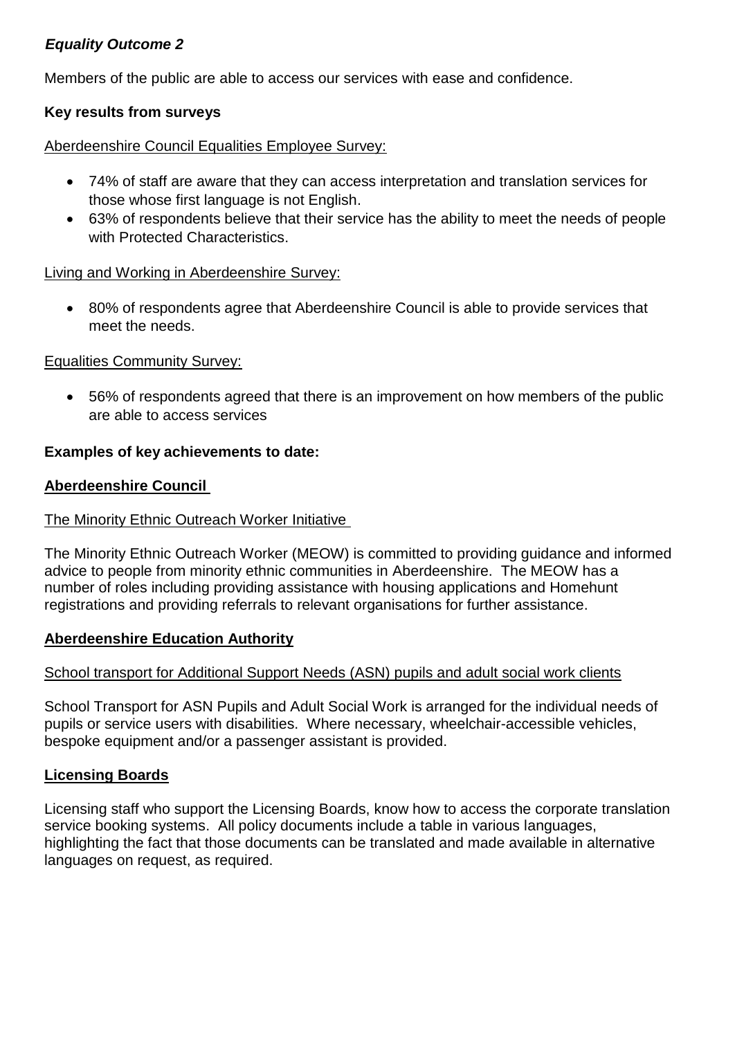## *Equality Outcome 2*

Members of the public are able to access our services with ease and confidence.

### **Key results from surveys**

#### Aberdeenshire Council Equalities Employee Survey:

- 74% of staff are aware that they can access interpretation and translation services for those whose first language is not English.
- 63% of respondents believe that their service has the ability to meet the needs of people with Protected Characteristics.

#### Living and Working in Aberdeenshire Survey:

 80% of respondents agree that Aberdeenshire Council is able to provide services that meet the needs.

#### Equalities Community Survey:

 56% of respondents agreed that there is an improvement on how members of the public are able to access services

### **Examples of key achievements to date:**

#### **Aberdeenshire Council**

#### The Minority Ethnic Outreach Worker Initiative

The Minority Ethnic Outreach Worker (MEOW) is committed to providing guidance and informed advice to people from minority ethnic communities in Aberdeenshire. The MEOW has a number of roles including providing assistance with housing applications and Homehunt registrations and providing referrals to relevant organisations for further assistance.

#### **Aberdeenshire Education Authority**

#### School transport for Additional Support Needs (ASN) pupils and adult social work clients

School Transport for ASN Pupils and Adult Social Work is arranged for the individual needs of pupils or service users with disabilities. Where necessary, wheelchair-accessible vehicles, bespoke equipment and/or a passenger assistant is provided.

### **Licensing Boards**

Licensing staff who support the Licensing Boards, know how to access the corporate translation service booking systems. All policy documents include a table in various languages, highlighting the fact that those documents can be translated and made available in alternative languages on request, as required.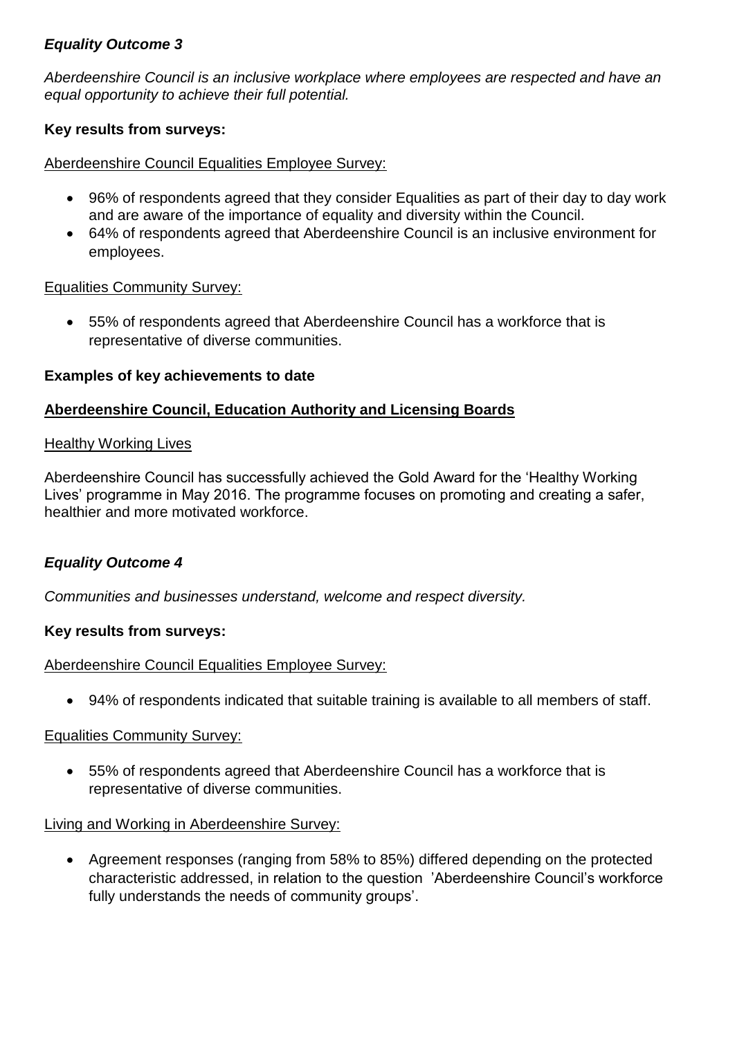### *Equality Outcome 3*

*Aberdeenshire Council is an inclusive workplace where employees are respected and have an equal opportunity to achieve their full potential.* 

### **Key results from surveys:**

#### Aberdeenshire Council Equalities Employee Survey:

- 96% of respondents agreed that they consider Equalities as part of their day to day work and are aware of the importance of equality and diversity within the Council.
- 64% of respondents agreed that Aberdeenshire Council is an inclusive environment for employees.

#### Equalities Community Survey:

 55% of respondents agreed that Aberdeenshire Council has a workforce that is representative of diverse communities.

### **Examples of key achievements to date**

#### **Aberdeenshire Council, Education Authority and Licensing Boards**

#### **Healthy Working Lives**

Aberdeenshire Council has successfully achieved the Gold Award for the 'Healthy Working Lives' programme in May 2016. The programme focuses on promoting and creating a safer, healthier and more motivated workforce.

### *Equality Outcome 4*

*Communities and businesses understand, welcome and respect diversity.*

#### **Key results from surveys:**

#### Aberdeenshire Council Equalities Employee Survey:

94% of respondents indicated that suitable training is available to all members of staff.

#### Equalities Community Survey:

 55% of respondents agreed that Aberdeenshire Council has a workforce that is representative of diverse communities.

#### Living and Working in Aberdeenshire Survey:

 Agreement responses (ranging from 58% to 85%) differed depending on the protected characteristic addressed, in relation to the question 'Aberdeenshire Council's workforce fully understands the needs of community groups'.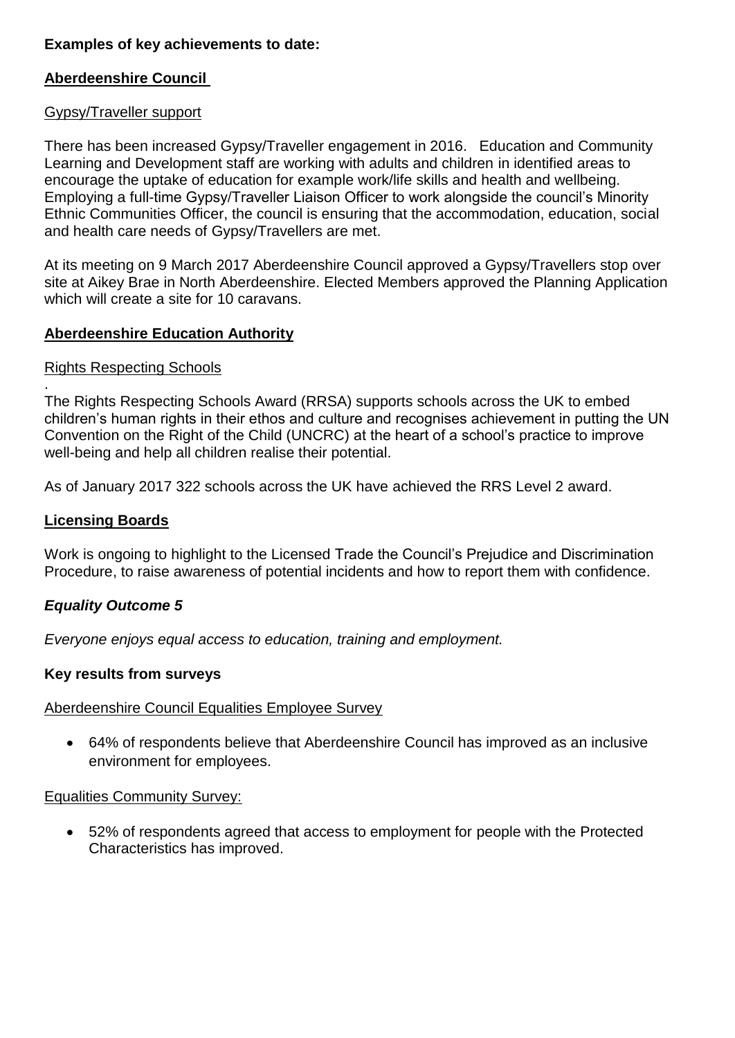### **Examples of key achievements to date:**

### **Aberdeenshire Council**

#### Gypsy/Traveller support

There has been increased Gypsy/Traveller engagement in 2016. Education and Community Learning and Development staff are working with adults and children in identified areas to encourage the uptake of education for example work/life skills and health and wellbeing. Employing a full-time Gypsy/Traveller Liaison Officer to work alongside the council's Minority Ethnic Communities Officer, the council is ensuring that the accommodation, education, social and health care needs of Gypsy/Travellers are met.

At its meeting on 9 March 2017 Aberdeenshire Council approved a Gypsy/Travellers stop over site at Aikey Brae in North Aberdeenshire. Elected Members approved the Planning Application which will create a site for 10 caravans.

#### **Aberdeenshire Education Authority**

#### Rights Respecting Schools

. The Rights Respecting Schools Award (RRSA) supports schools across the UK to embed children's human rights in their ethos and culture and recognises achievement in putting the UN Convention on the Right of the Child (UNCRC) at the heart of a school's practice to improve well-being and help all children realise their potential.

As of January 2017 322 schools across the UK have achieved the RRS Level 2 award.

#### **Licensing Boards**

Work is ongoing to highlight to the Licensed Trade the Council's Prejudice and Discrimination Procedure, to raise awareness of potential incidents and how to report them with confidence.

### *Equality Outcome 5*

*Everyone enjoys equal access to education, training and employment.*

#### **Key results from surveys**

#### Aberdeenshire Council Equalities Employee Survey

 64% of respondents believe that Aberdeenshire Council has improved as an inclusive environment for employees.

#### Equalities Community Survey:

 52% of respondents agreed that access to employment for people with the Protected Characteristics has improved.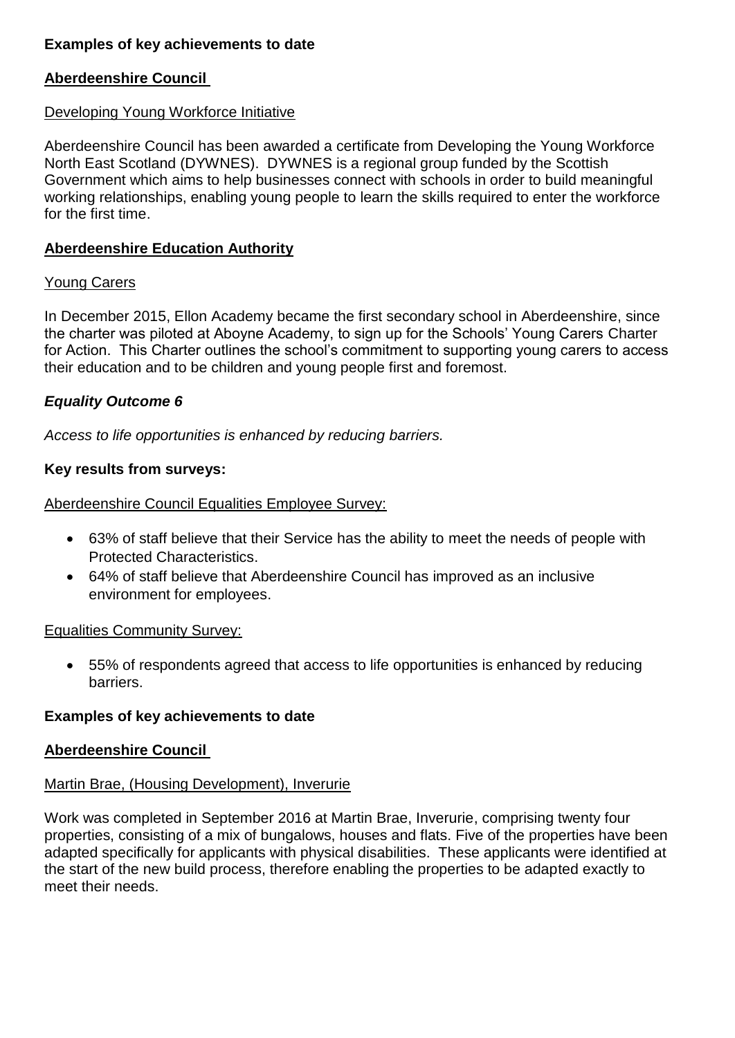### **Examples of key achievements to date**

#### **Aberdeenshire Council**

#### Developing Young Workforce Initiative

Aberdeenshire Council has been awarded a certificate from Developing the Young Workforce North East Scotland (DYWNES). DYWNES is a regional group funded by the Scottish Government which aims to help businesses connect with schools in order to build meaningful working relationships, enabling young people to learn the skills required to enter the workforce for the first time.

#### **Aberdeenshire Education Authority**

#### Young Carers

In December 2015, Ellon Academy became the first secondary school in Aberdeenshire, since the charter was piloted at Aboyne Academy, to sign up for the Schools' Young Carers Charter for Action. This Charter outlines the school's commitment to supporting young carers to access their education and to be children and young people first and foremost.

#### *Equality Outcome 6*

*Access to life opportunities is enhanced by reducing barriers.*

#### **Key results from surveys:**

Aberdeenshire Council Equalities Employee Survey:

- 63% of staff believe that their Service has the ability to meet the needs of people with Protected Characteristics.
- 64% of staff believe that Aberdeenshire Council has improved as an inclusive environment for employees.

#### Equalities Community Survey:

 55% of respondents agreed that access to life opportunities is enhanced by reducing barriers.

#### **Examples of key achievements to date**

#### **Aberdeenshire Council**

#### Martin Brae, (Housing Development), Inverurie

Work was completed in September 2016 at Martin Brae, Inverurie, comprising twenty four properties, consisting of a mix of bungalows, houses and flats. Five of the properties have been adapted specifically for applicants with physical disabilities. These applicants were identified at the start of the new build process, therefore enabling the properties to be adapted exactly to meet their needs.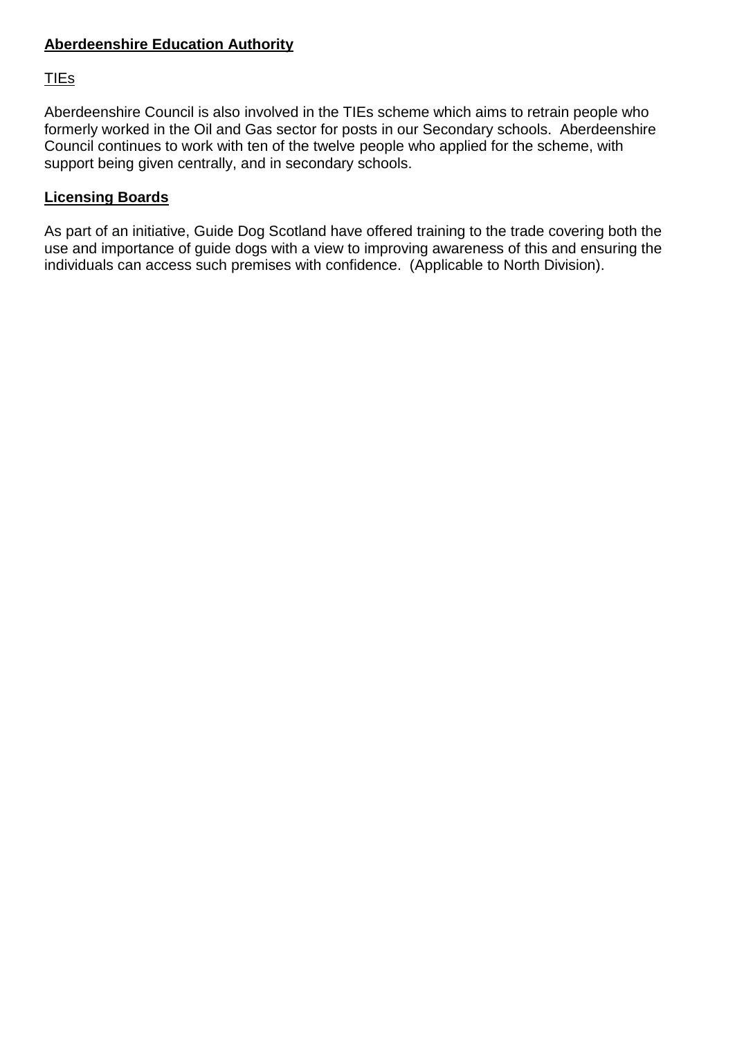### **Aberdeenshire Education Authority**

## TIEs

Aberdeenshire Council is also involved in the TIEs scheme which aims to retrain people who formerly worked in the Oil and Gas sector for posts in our Secondary schools. Aberdeenshire Council continues to work with ten of the twelve people who applied for the scheme, with support being given centrally, and in secondary schools.

### **Licensing Boards**

As part of an initiative, Guide Dog Scotland have offered training to the trade covering both the use and importance of guide dogs with a view to improving awareness of this and ensuring the individuals can access such premises with confidence. (Applicable to North Division).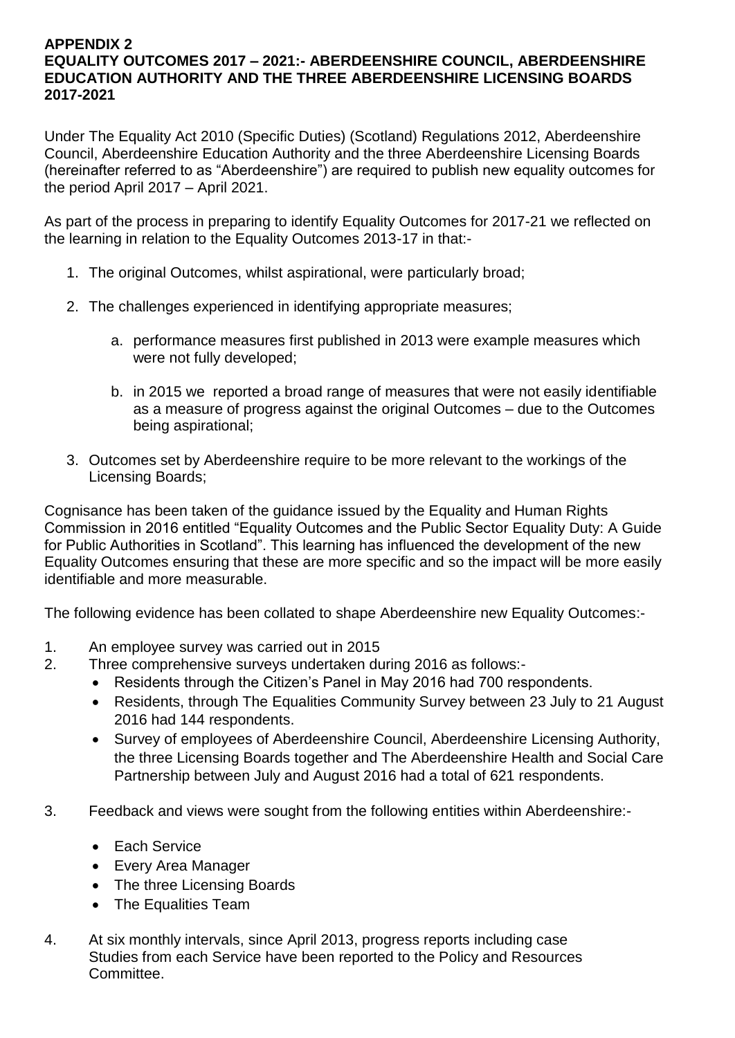#### **APPENDIX 2 EQUALITY OUTCOMES 2017 – 2021:- ABERDEENSHIRE COUNCIL, ABERDEENSHIRE EDUCATION AUTHORITY AND THE THREE ABERDEENSHIRE LICENSING BOARDS 2017-2021**

Under The Equality Act 2010 (Specific Duties) (Scotland) Regulations 2012, Aberdeenshire Council, Aberdeenshire Education Authority and the three Aberdeenshire Licensing Boards (hereinafter referred to as "Aberdeenshire") are required to publish new equality outcomes for the period April 2017 – April 2021.

As part of the process in preparing to identify Equality Outcomes for 2017-21 we reflected on the learning in relation to the Equality Outcomes 2013-17 in that:-

- 1. The original Outcomes, whilst aspirational, were particularly broad;
- 2. The challenges experienced in identifying appropriate measures;
	- a. performance measures first published in 2013 were example measures which were not fully developed;
	- b. in 2015 we reported a broad range of measures that were not easily identifiable as a measure of progress against the original Outcomes – due to the Outcomes being aspirational;
- 3. Outcomes set by Aberdeenshire require to be more relevant to the workings of the Licensing Boards;

Cognisance has been taken of the guidance issued by the Equality and Human Rights Commission in 2016 entitled "Equality Outcomes and the Public Sector Equality Duty: A Guide for Public Authorities in Scotland". This learning has influenced the development of the new Equality Outcomes ensuring that these are more specific and so the impact will be more easily identifiable and more measurable.

The following evidence has been collated to shape Aberdeenshire new Equality Outcomes:-

- 1. An employee survey was carried out in 2015
- 2. Three comprehensive surveys undertaken during 2016 as follows:-
	- Residents through the Citizen's Panel in May 2016 had 700 respondents.
		- Residents, through The Equalities Community Survey between 23 July to 21 August 2016 had 144 respondents.
	- Survey of employees of Aberdeenshire Council, Aberdeenshire Licensing Authority, the three Licensing Boards together and The Aberdeenshire Health and Social Care Partnership between July and August 2016 had a total of 621 respondents.
- 3. Feedback and views were sought from the following entities within Aberdeenshire:-
	- Each Service
	- Every Area Manager
	- The three Licensing Boards
	- The Equalities Team
- 4. At six monthly intervals, since April 2013, progress reports including case Studies from each Service have been reported to the Policy and Resources Committee.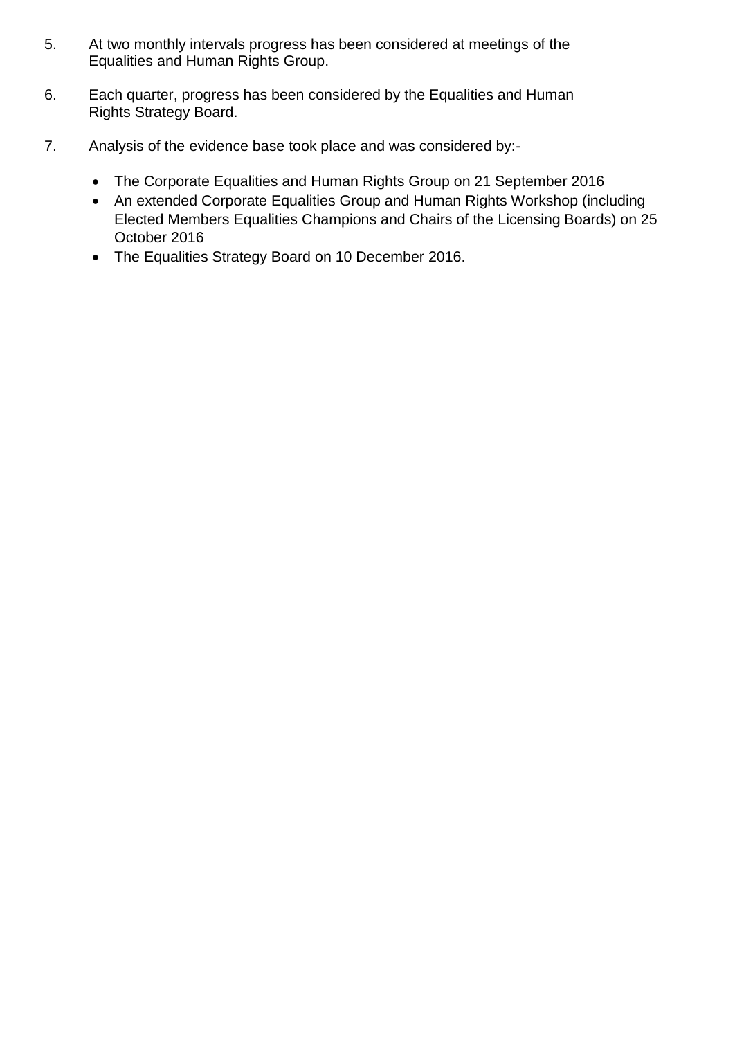- 5. At two monthly intervals progress has been considered at meetings of the Equalities and Human Rights Group.
- 6. Each quarter, progress has been considered by the Equalities and Human Rights Strategy Board.
- 7. Analysis of the evidence base took place and was considered by:-
	- The Corporate Equalities and Human Rights Group on 21 September 2016
	- An extended Corporate Equalities Group and Human Rights Workshop (including Elected Members Equalities Champions and Chairs of the Licensing Boards) on 25 October 2016
	- The Equalities Strategy Board on 10 December 2016.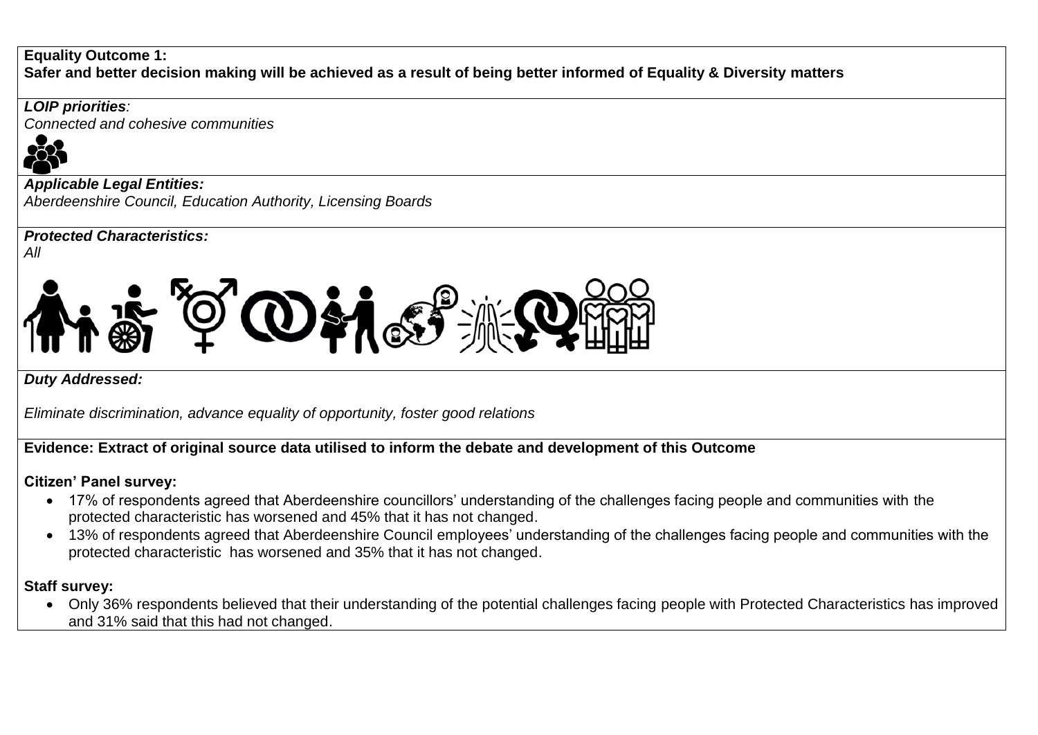### **Equality Outcome 1:**

**Safer and better decision making will be achieved as a result of being better informed of Equality & Diversity matters**

*LOIP priorities:* 

*Connected and cohesive communities*



*Applicable Legal Entities: Aberdeenshire Council, Education Authority, Licensing Boards*

*Protected Characteristics:*





*Duty Addressed:*

*Eliminate discrimination, advance equality of opportunity, foster good relations*

# **Evidence: Extract of original source data utilised to inform the debate and development of this Outcome**

# **Citizen' Panel survey:**

- 17% of respondents agreed that Aberdeenshire councillors' understanding of the challenges facing people and communities with the protected characteristic has worsened and 45% that it has not changed.
- 13% of respondents agreed that Aberdeenshire Council employees' understanding of the challenges facing people and communities with the protected characteristic has worsened and 35% that it has not changed.

# **Staff survey:**

 Only 36% respondents believed that their understanding of the potential challenges facing people with Protected Characteristics has improved and 31% said that this had not changed.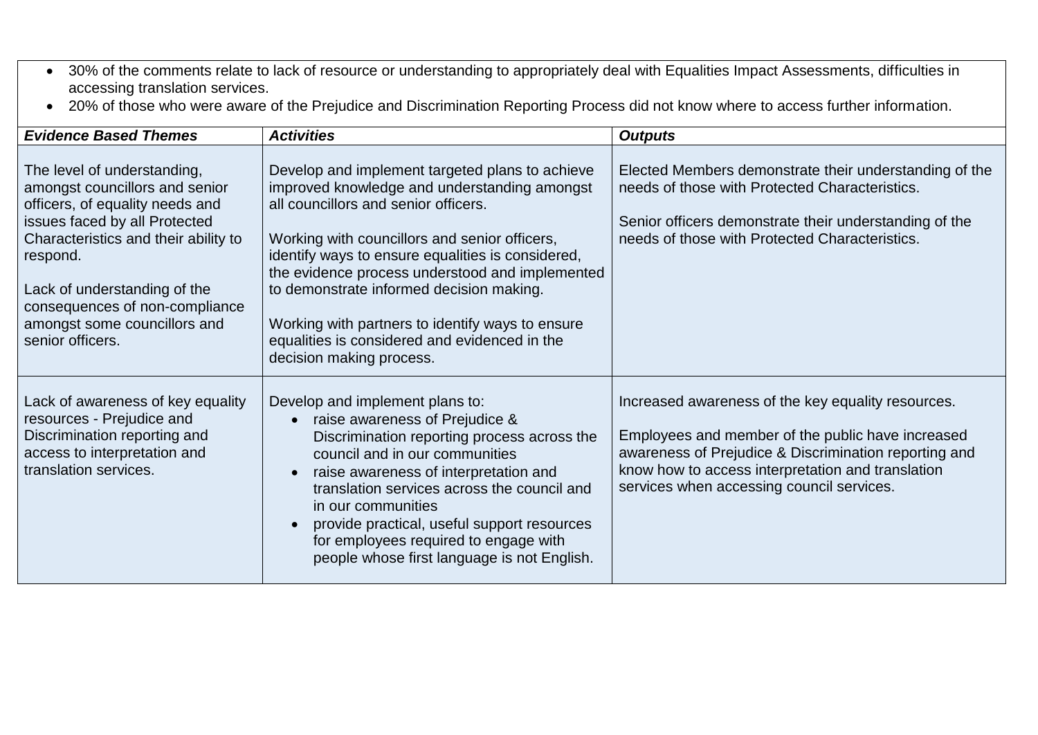- 30% of the comments relate to lack of resource or understanding to appropriately deal with Equalities Impact Assessments, difficulties in accessing translation services.
- 20% of those who were aware of the Prejudice and Discrimination Reporting Process did not know where to access further information.

| <b>Evidence Based Themes</b>                                                                                                                                                                                                                                                                                | <b>Activities</b>                                                                                                                                                                                                                                                                                                                                                                                                                                                             | <b>Outputs</b>                                                                                                                                                                                                                                                     |
|-------------------------------------------------------------------------------------------------------------------------------------------------------------------------------------------------------------------------------------------------------------------------------------------------------------|-------------------------------------------------------------------------------------------------------------------------------------------------------------------------------------------------------------------------------------------------------------------------------------------------------------------------------------------------------------------------------------------------------------------------------------------------------------------------------|--------------------------------------------------------------------------------------------------------------------------------------------------------------------------------------------------------------------------------------------------------------------|
| The level of understanding,<br>amongst councillors and senior<br>officers, of equality needs and<br>issues faced by all Protected<br>Characteristics and their ability to<br>respond.<br>Lack of understanding of the<br>consequences of non-compliance<br>amongst some councillors and<br>senior officers. | Develop and implement targeted plans to achieve<br>improved knowledge and understanding amongst<br>all councillors and senior officers.<br>Working with councillors and senior officers,<br>identify ways to ensure equalities is considered,<br>the evidence process understood and implemented<br>to demonstrate informed decision making.<br>Working with partners to identify ways to ensure<br>equalities is considered and evidenced in the<br>decision making process. | Elected Members demonstrate their understanding of the<br>needs of those with Protected Characteristics.<br>Senior officers demonstrate their understanding of the<br>needs of those with Protected Characteristics.                                               |
| Lack of awareness of key equality<br>resources - Prejudice and<br>Discrimination reporting and<br>access to interpretation and<br>translation services.                                                                                                                                                     | Develop and implement plans to:<br>raise awareness of Prejudice &<br>Discrimination reporting process across the<br>council and in our communities<br>raise awareness of interpretation and<br>translation services across the council and<br>in our communities<br>provide practical, useful support resources<br>for employees required to engage with<br>people whose first language is not English.                                                                       | Increased awareness of the key equality resources.<br>Employees and member of the public have increased<br>awareness of Prejudice & Discrimination reporting and<br>know how to access interpretation and translation<br>services when accessing council services. |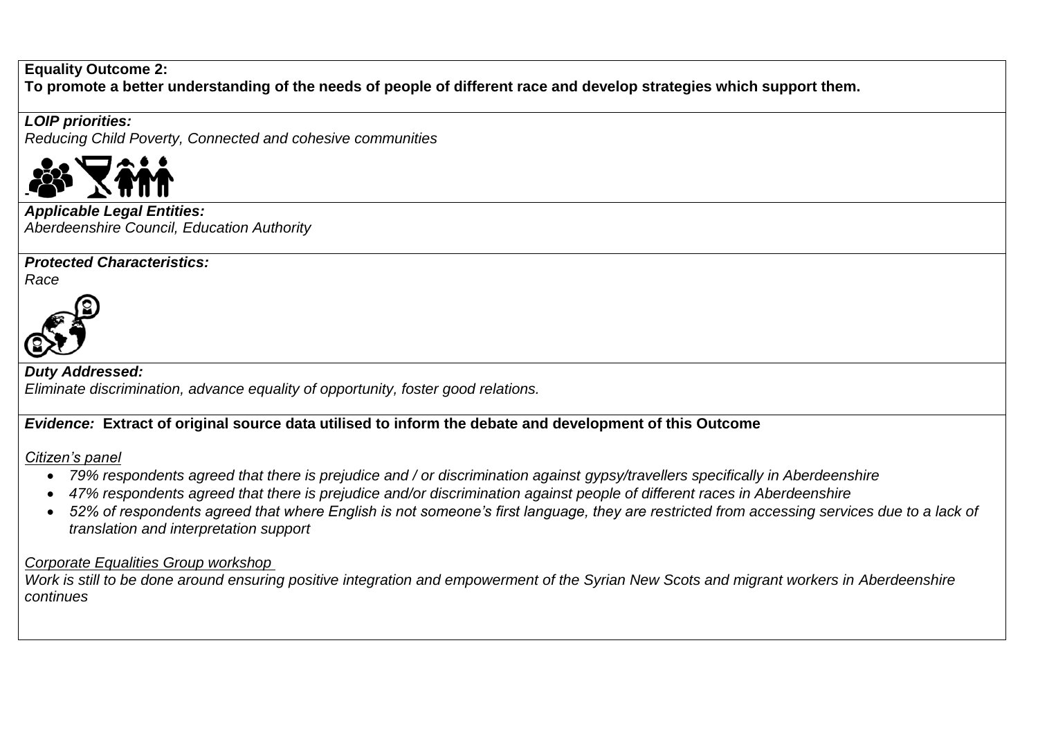#### **Equality Outcome 2:**

**To promote a better understanding of the needs of people of different race and develop strategies which support them.**

### *LOIP priorities:*

*Reducing Child Poverty, Connected and cohesive communities* 



*Applicable Legal Entities: Aberdeenshire Council, Education Authority* 

## *Protected Characteristics:*

*Race*



#### *Duty Addressed: Eliminate discrimination, advance equality of opportunity, foster good relations.*

## *Evidence:* **Extract of original source data utilised to inform the debate and development of this Outcome**

*Citizen's panel*

- *79% respondents agreed that there is prejudice and / or discrimination against gypsy/travellers specifically in Aberdeenshire*
- *47% respondents agreed that there is prejudice and/or discrimination against people of different races in Aberdeenshire*
- *52% of respondents agreed that where English is not someone's first language, they are restricted from accessing services due to a lack of translation and interpretation support*

### *Corporate Equalities Group workshop*

*Work is still to be done around ensuring positive integration and empowerment of the Syrian New Scots and migrant workers in Aberdeenshire continues*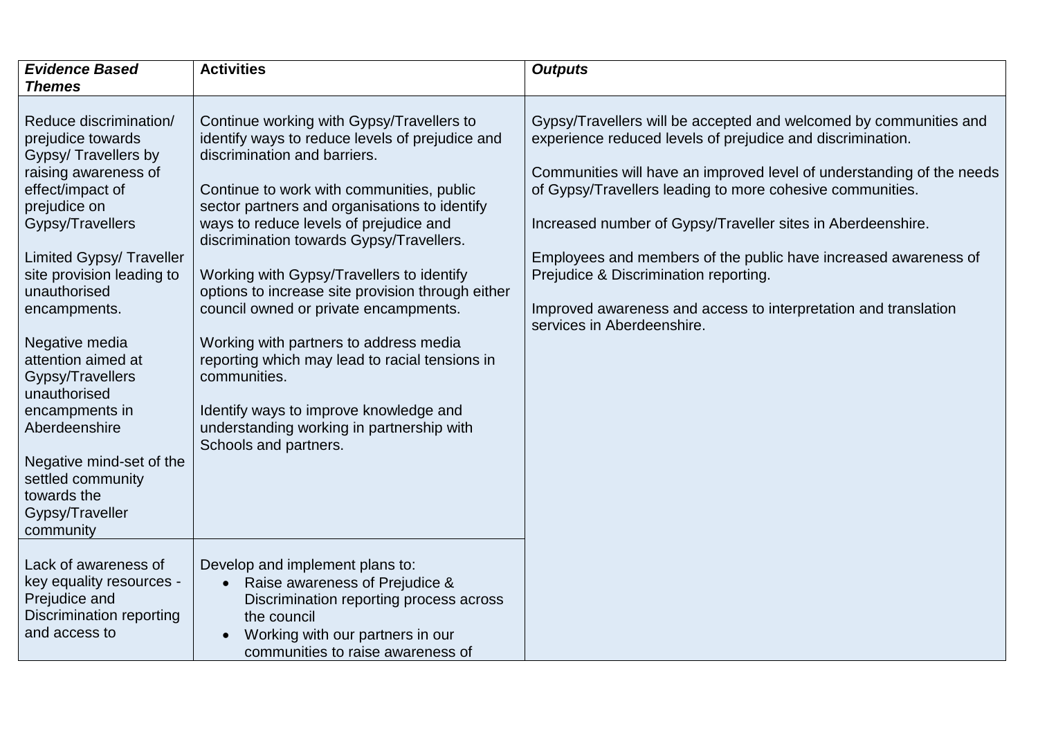| <b>Evidence Based</b><br><b>Themes</b>                                                                                                                                                                                                                                                                                                                                                                                                                             | <b>Activities</b>                                                                                                                                                                                                                                                                                                                                                                                                                                                                                                                                                                                                                                                                       | <b>Outputs</b>                                                                                                                                                                                                                                                                                                                                                                                                                                                                                                                                    |
|--------------------------------------------------------------------------------------------------------------------------------------------------------------------------------------------------------------------------------------------------------------------------------------------------------------------------------------------------------------------------------------------------------------------------------------------------------------------|-----------------------------------------------------------------------------------------------------------------------------------------------------------------------------------------------------------------------------------------------------------------------------------------------------------------------------------------------------------------------------------------------------------------------------------------------------------------------------------------------------------------------------------------------------------------------------------------------------------------------------------------------------------------------------------------|---------------------------------------------------------------------------------------------------------------------------------------------------------------------------------------------------------------------------------------------------------------------------------------------------------------------------------------------------------------------------------------------------------------------------------------------------------------------------------------------------------------------------------------------------|
| Reduce discrimination/<br>prejudice towards<br>Gypsy/ Travellers by<br>raising awareness of<br>effect/impact of<br>prejudice on<br>Gypsy/Travellers<br><b>Limited Gypsy/ Traveller</b><br>site provision leading to<br>unauthorised<br>encampments.<br>Negative media<br>attention aimed at<br>Gypsy/Travellers<br>unauthorised<br>encampments in<br>Aberdeenshire<br>Negative mind-set of the<br>settled community<br>towards the<br>Gypsy/Traveller<br>community | Continue working with Gypsy/Travellers to<br>identify ways to reduce levels of prejudice and<br>discrimination and barriers.<br>Continue to work with communities, public<br>sector partners and organisations to identify<br>ways to reduce levels of prejudice and<br>discrimination towards Gypsy/Travellers.<br>Working with Gypsy/Travellers to identify<br>options to increase site provision through either<br>council owned or private encampments.<br>Working with partners to address media<br>reporting which may lead to racial tensions in<br>communities.<br>Identify ways to improve knowledge and<br>understanding working in partnership with<br>Schools and partners. | Gypsy/Travellers will be accepted and welcomed by communities and<br>experience reduced levels of prejudice and discrimination.<br>Communities will have an improved level of understanding of the needs<br>of Gypsy/Travellers leading to more cohesive communities.<br>Increased number of Gypsy/Traveller sites in Aberdeenshire.<br>Employees and members of the public have increased awareness of<br>Prejudice & Discrimination reporting.<br>Improved awareness and access to interpretation and translation<br>services in Aberdeenshire. |
| Lack of awareness of<br>key equality resources -<br>Prejudice and<br>Discrimination reporting<br>and access to                                                                                                                                                                                                                                                                                                                                                     | Develop and implement plans to:<br>Raise awareness of Prejudice &<br>Discrimination reporting process across<br>the council<br>Working with our partners in our<br>communities to raise awareness of                                                                                                                                                                                                                                                                                                                                                                                                                                                                                    |                                                                                                                                                                                                                                                                                                                                                                                                                                                                                                                                                   |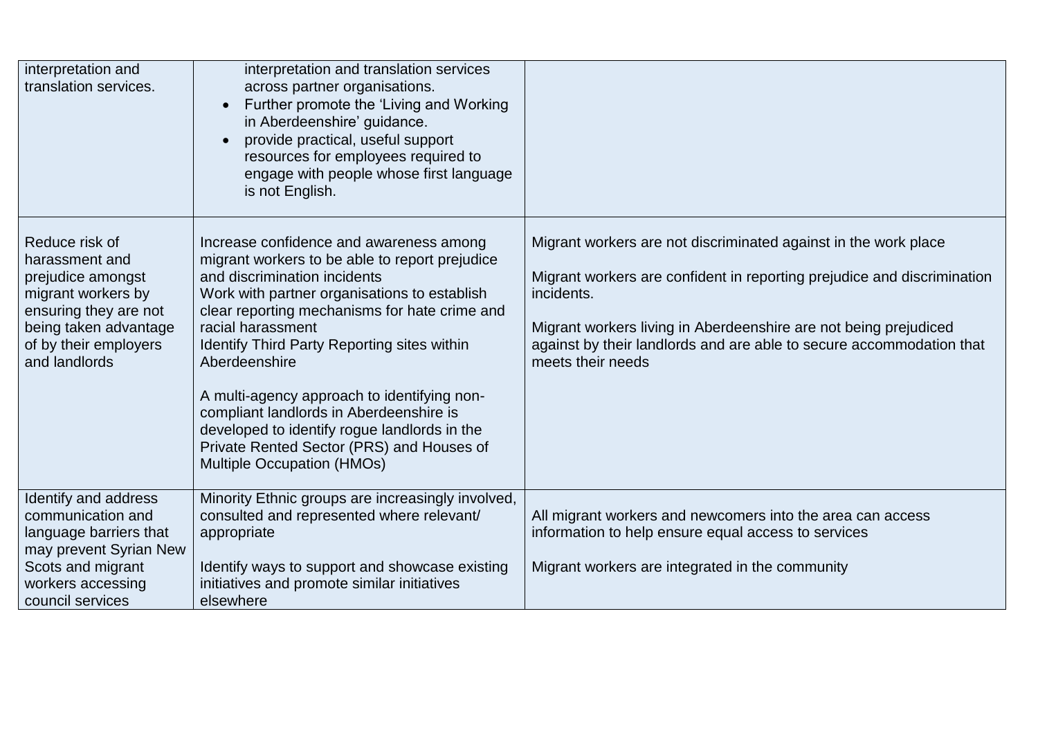| interpretation and<br>translation services.                                                                                                                             | interpretation and translation services<br>across partner organisations.<br>Further promote the 'Living and Working<br>$\bullet$<br>in Aberdeenshire' guidance.<br>provide practical, useful support<br>resources for employees required to<br>engage with people whose first language<br>is not English.                                                                                                                                                                                                                            |                                                                                                                                                                                                                                                                                                                           |
|-------------------------------------------------------------------------------------------------------------------------------------------------------------------------|--------------------------------------------------------------------------------------------------------------------------------------------------------------------------------------------------------------------------------------------------------------------------------------------------------------------------------------------------------------------------------------------------------------------------------------------------------------------------------------------------------------------------------------|---------------------------------------------------------------------------------------------------------------------------------------------------------------------------------------------------------------------------------------------------------------------------------------------------------------------------|
| Reduce risk of<br>harassment and<br>prejudice amongst<br>migrant workers by<br>ensuring they are not<br>being taken advantage<br>of by their employers<br>and landlords | Increase confidence and awareness among<br>migrant workers to be able to report prejudice<br>and discrimination incidents<br>Work with partner organisations to establish<br>clear reporting mechanisms for hate crime and<br>racial harassment<br>Identify Third Party Reporting sites within<br>Aberdeenshire<br>A multi-agency approach to identifying non-<br>compliant landlords in Aberdeenshire is<br>developed to identify rogue landlords in the<br>Private Rented Sector (PRS) and Houses of<br>Multiple Occupation (HMOs) | Migrant workers are not discriminated against in the work place<br>Migrant workers are confident in reporting prejudice and discrimination<br>incidents.<br>Migrant workers living in Aberdeenshire are not being prejudiced<br>against by their landlords and are able to secure accommodation that<br>meets their needs |
| Identify and address<br>communication and<br>language barriers that<br>may prevent Syrian New                                                                           | Minority Ethnic groups are increasingly involved,<br>consulted and represented where relevant/<br>appropriate                                                                                                                                                                                                                                                                                                                                                                                                                        | All migrant workers and newcomers into the area can access<br>information to help ensure equal access to services                                                                                                                                                                                                         |
| Scots and migrant<br>workers accessing<br>council services                                                                                                              | Identify ways to support and showcase existing<br>initiatives and promote similar initiatives<br>elsewhere                                                                                                                                                                                                                                                                                                                                                                                                                           | Migrant workers are integrated in the community                                                                                                                                                                                                                                                                           |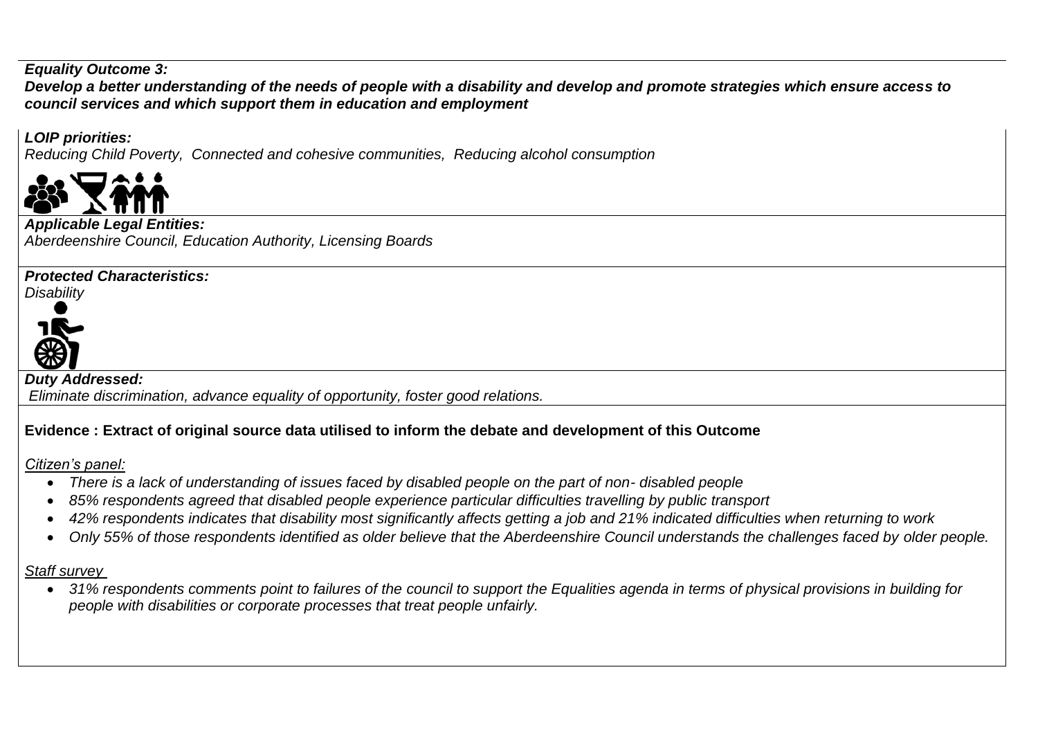#### *Equality Outcome 3:*

*Develop a better understanding of the needs of people with a disability and develop and promote strategies which ensure access to council services and which support them in education and employment*

### *LOIP priorities:*

*Reducing Child Poverty, Connected and cohesive communities, Reducing alcohol consumption*



#### *Applicable Legal Entities:*

*Aberdeenshire Council, Education Authority, Licensing Boards*

### *Protected Characteristics:*

*Disability*



*Duty Addressed:*

*Eliminate discrimination, advance equality of opportunity, foster good relations.*

# **Evidence : Extract of original source data utilised to inform the debate and development of this Outcome**

*Citizen's panel:*

- *There is a lack of understanding of issues faced by disabled people on the part of non- disabled people*
- *85% respondents agreed that disabled people experience particular difficulties travelling by public transport*
- *42% respondents indicates that disability most significantly affects getting a job and 21% indicated difficulties when returning to work*
- *Only 55% of those respondents identified as older believe that the Aberdeenshire Council understands the challenges faced by older people.*

## *Staff survey*

 *31% respondents comments point to failures of the council to support the Equalities agenda in terms of physical provisions in building for people with disabilities or corporate processes that treat people unfairly.*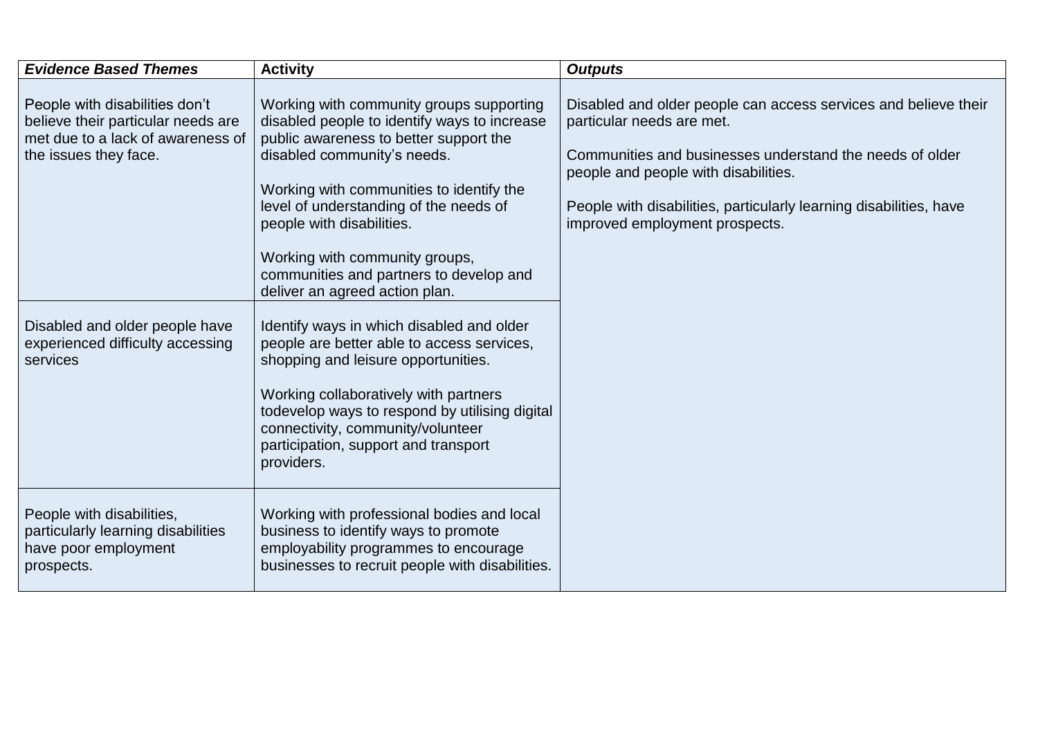| <b>Evidence Based Themes</b>                                                                                                       | <b>Activity</b>                                                                                                                                                                                                                                                                                                                                                                                     | <b>Outputs</b>                                                                                                                                                                                                                                                                                           |
|------------------------------------------------------------------------------------------------------------------------------------|-----------------------------------------------------------------------------------------------------------------------------------------------------------------------------------------------------------------------------------------------------------------------------------------------------------------------------------------------------------------------------------------------------|----------------------------------------------------------------------------------------------------------------------------------------------------------------------------------------------------------------------------------------------------------------------------------------------------------|
| People with disabilities don't<br>believe their particular needs are<br>met due to a lack of awareness of<br>the issues they face. | Working with community groups supporting<br>disabled people to identify ways to increase<br>public awareness to better support the<br>disabled community's needs.<br>Working with communities to identify the<br>level of understanding of the needs of<br>people with disabilities.<br>Working with community groups,<br>communities and partners to develop and<br>deliver an agreed action plan. | Disabled and older people can access services and believe their<br>particular needs are met.<br>Communities and businesses understand the needs of older<br>people and people with disabilities.<br>People with disabilities, particularly learning disabilities, have<br>improved employment prospects. |
| Disabled and older people have<br>experienced difficulty accessing<br>services                                                     | Identify ways in which disabled and older<br>people are better able to access services,<br>shopping and leisure opportunities.<br>Working collaboratively with partners<br>todevelop ways to respond by utilising digital<br>connectivity, community/volunteer<br>participation, support and transport<br>providers.                                                                                |                                                                                                                                                                                                                                                                                                          |
| People with disabilities,<br>particularly learning disabilities<br>have poor employment<br>prospects.                              | Working with professional bodies and local<br>business to identify ways to promote<br>employability programmes to encourage<br>businesses to recruit people with disabilities.                                                                                                                                                                                                                      |                                                                                                                                                                                                                                                                                                          |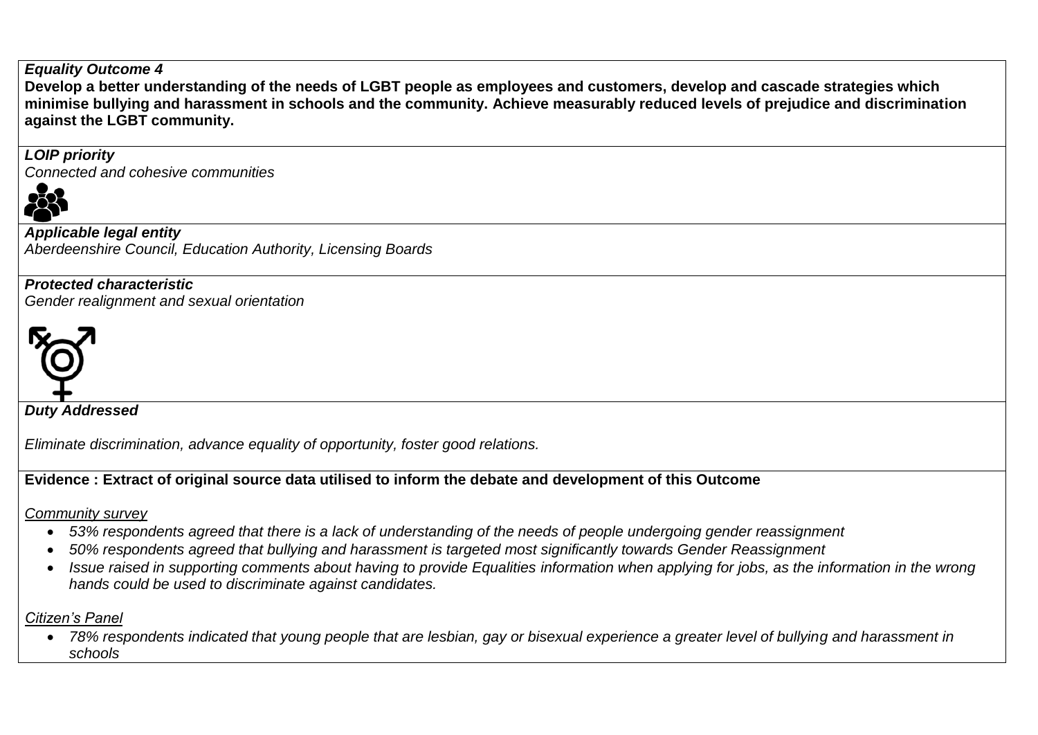#### *Equality Outcome 4*

**Develop a better understanding of the needs of LGBT people as employees and customers, develop and cascade strategies which minimise bullying and harassment in schools and the community. Achieve measurably reduced levels of prejudice and discrimination against the LGBT community.**

## *LOIP priority*

*Connected and cohesive communities*



*Applicable legal entity Aberdeenshire Council, Education Authority, Licensing Boards*

*Protected characteristic Gender realignment and sexual orientation*



*Duty Addressed*

*Eliminate discrimination, advance equality of opportunity, foster good relations.*

# **Evidence : Extract of original source data utilised to inform the debate and development of this Outcome**

*Community survey*

- *53% respondents agreed that there is a lack of understanding of the needs of people undergoing gender reassignment*
- *50% respondents agreed that bullying and harassment is targeted most significantly towards Gender Reassignment*
- *Issue raised in supporting comments about having to provide Equalities information when applying for jobs, as the information in the wrong hands could be used to discriminate against candidates.*

# *Citizen's Panel*

 *78% respondents indicated that young people that are lesbian, gay or bisexual experience a greater level of bullying and harassment in schools*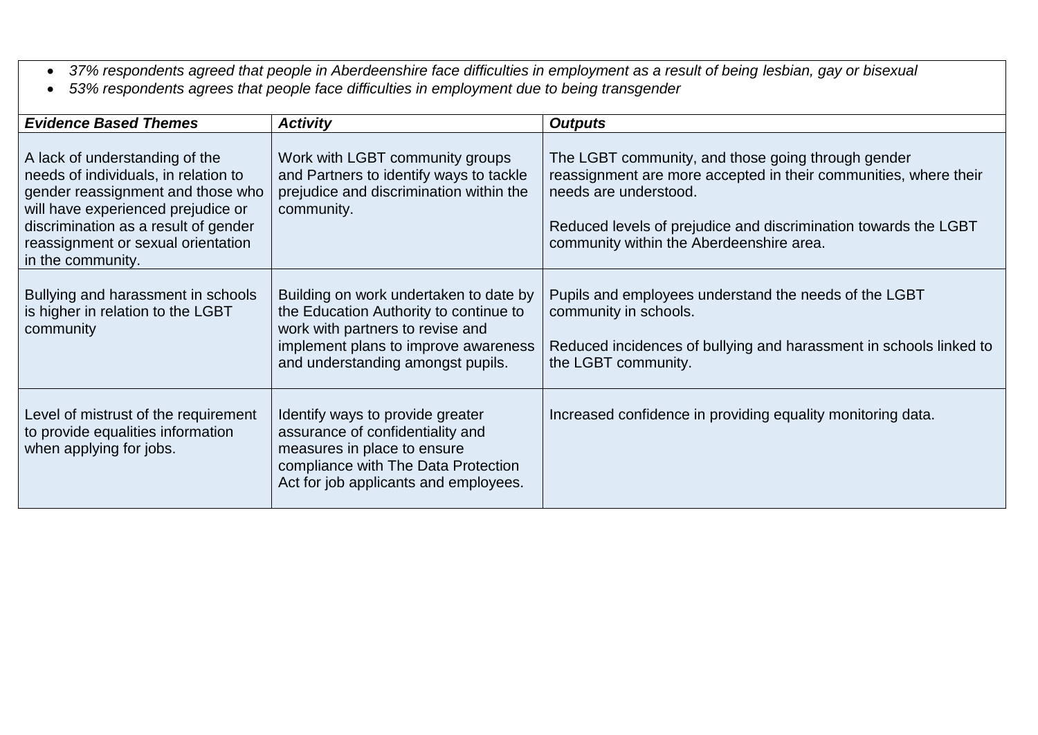- *37% respondents agreed that people in Aberdeenshire face difficulties in employment as a result of being lesbian, gay or bisexual*
- *53% respondents agrees that people face difficulties in employment due to being transgender*

| <b>Evidence Based Themes</b>                                                                                                                                                                                                                         | <b>Activity</b>                                                                                                                                                                                   | <b>Outputs</b>                                                                                                                                                                                                                                                 |
|------------------------------------------------------------------------------------------------------------------------------------------------------------------------------------------------------------------------------------------------------|---------------------------------------------------------------------------------------------------------------------------------------------------------------------------------------------------|----------------------------------------------------------------------------------------------------------------------------------------------------------------------------------------------------------------------------------------------------------------|
| A lack of understanding of the<br>needs of individuals, in relation to<br>gender reassignment and those who<br>will have experienced prejudice or<br>discrimination as a result of gender<br>reassignment or sexual orientation<br>in the community. | Work with LGBT community groups<br>and Partners to identify ways to tackle<br>prejudice and discrimination within the<br>community.                                                               | The LGBT community, and those going through gender<br>reassignment are more accepted in their communities, where their<br>needs are understood.<br>Reduced levels of prejudice and discrimination towards the LGBT<br>community within the Aberdeenshire area. |
| Bullying and harassment in schools<br>is higher in relation to the LGBT<br>community                                                                                                                                                                 | Building on work undertaken to date by<br>the Education Authority to continue to<br>work with partners to revise and<br>implement plans to improve awareness<br>and understanding amongst pupils. | Pupils and employees understand the needs of the LGBT<br>community in schools.<br>Reduced incidences of bullying and harassment in schools linked to<br>the LGBT community.                                                                                    |
| Level of mistrust of the requirement<br>to provide equalities information<br>when applying for jobs.                                                                                                                                                 | Identify ways to provide greater<br>assurance of confidentiality and<br>measures in place to ensure<br>compliance with The Data Protection<br>Act for job applicants and employees.               | Increased confidence in providing equality monitoring data.                                                                                                                                                                                                    |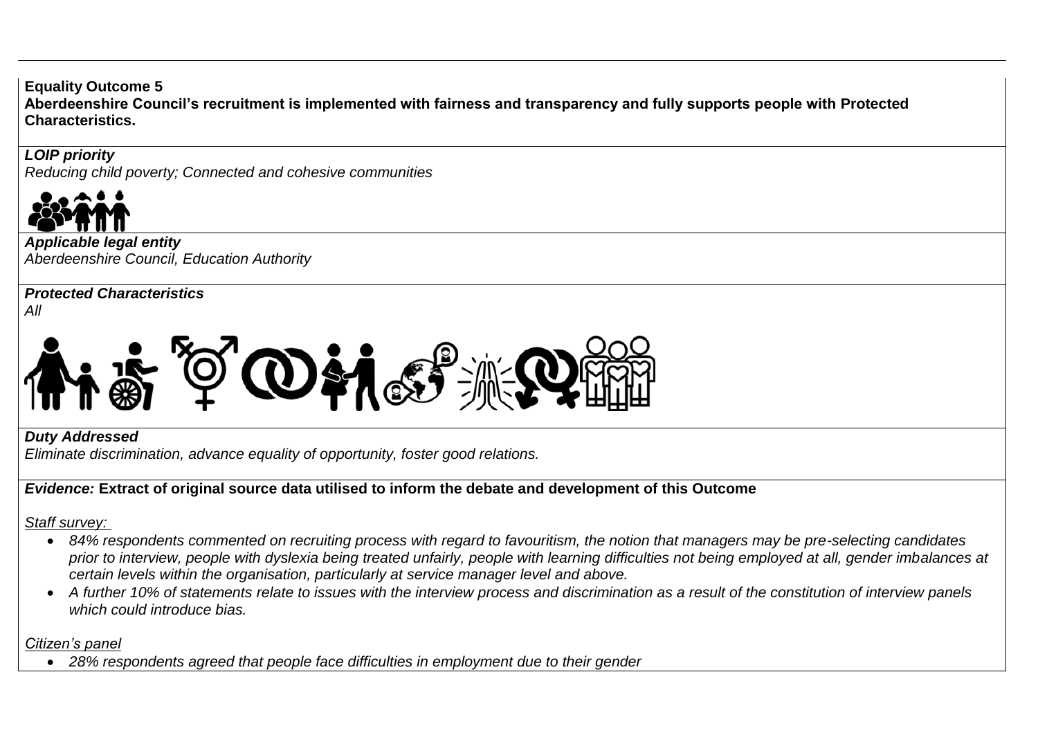**Equality Outcome 5 Aberdeenshire Council's recruitment is implemented with fairness and transparency and fully supports people with Protected Characteristics.**

*LOIP priority Reducing child poverty; Connected and cohesive communities*



*Applicable legal entity Aberdeenshire Council, Education Authority*

*Protected Characteristics*

*All*



*Duty Addressed*

*Eliminate discrimination, advance equality of opportunity, foster good relations.*

*Evidence:* **Extract of original source data utilised to inform the debate and development of this Outcome** 

*Staff survey:* 

- *84% respondents commented on recruiting process with regard to favouritism, the notion that managers may be pre-selecting candidates*  prior to interview, people with dyslexia being treated unfairly, people with learning difficulties not being employed at all, gender imbalances at *certain levels within the organisation, particularly at service manager level and above.*
- *A further 10% of statements relate to issues with the interview process and discrimination as a result of the constitution of interview panels which could introduce bias.*

*Citizen's panel*

*28% respondents agreed that people face difficulties in employment due to their gender*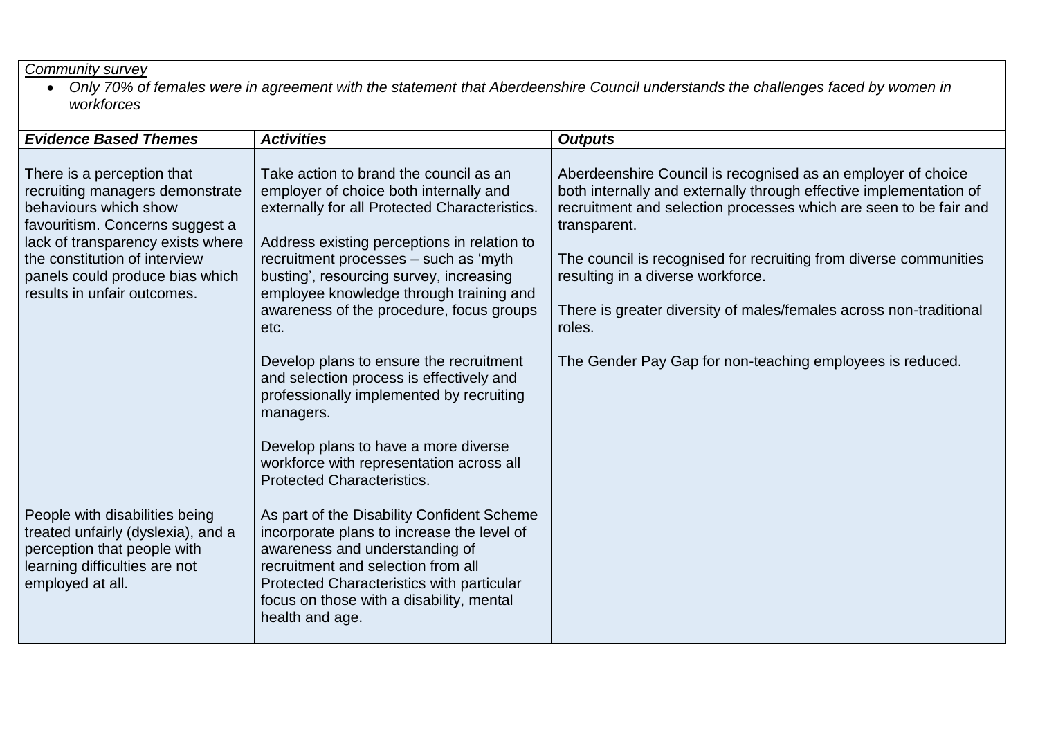#### *Community survey*

 *Only 70% of females were in agreement with the statement that Aberdeenshire Council understands the challenges faced by women in workforces* 

| <b>Evidence Based Themes</b>                                                                                                                                                                                                                                      | <b>Activities</b>                                                                                                                                                                                                                                                                                                                                                                                                                                                                                                                                                                                                                            | <b>Outputs</b>                                                                                                                                                                                                                                                                                                                                                                                                                                                                 |
|-------------------------------------------------------------------------------------------------------------------------------------------------------------------------------------------------------------------------------------------------------------------|----------------------------------------------------------------------------------------------------------------------------------------------------------------------------------------------------------------------------------------------------------------------------------------------------------------------------------------------------------------------------------------------------------------------------------------------------------------------------------------------------------------------------------------------------------------------------------------------------------------------------------------------|--------------------------------------------------------------------------------------------------------------------------------------------------------------------------------------------------------------------------------------------------------------------------------------------------------------------------------------------------------------------------------------------------------------------------------------------------------------------------------|
| There is a perception that<br>recruiting managers demonstrate<br>behaviours which show<br>favouritism. Concerns suggest a<br>lack of transparency exists where<br>the constitution of interview<br>panels could produce bias which<br>results in unfair outcomes. | Take action to brand the council as an<br>employer of choice both internally and<br>externally for all Protected Characteristics.<br>Address existing perceptions in relation to<br>recruitment processes - such as 'myth<br>busting', resourcing survey, increasing<br>employee knowledge through training and<br>awareness of the procedure, focus groups<br>etc.<br>Develop plans to ensure the recruitment<br>and selection process is effectively and<br>professionally implemented by recruiting<br>managers.<br>Develop plans to have a more diverse<br>workforce with representation across all<br><b>Protected Characteristics.</b> | Aberdeenshire Council is recognised as an employer of choice<br>both internally and externally through effective implementation of<br>recruitment and selection processes which are seen to be fair and<br>transparent.<br>The council is recognised for recruiting from diverse communities<br>resulting in a diverse workforce.<br>There is greater diversity of males/females across non-traditional<br>roles.<br>The Gender Pay Gap for non-teaching employees is reduced. |
| People with disabilities being<br>treated unfairly (dyslexia), and a<br>perception that people with<br>learning difficulties are not<br>employed at all.                                                                                                          | As part of the Disability Confident Scheme<br>incorporate plans to increase the level of<br>awareness and understanding of<br>recruitment and selection from all<br>Protected Characteristics with particular<br>focus on those with a disability, mental<br>health and age.                                                                                                                                                                                                                                                                                                                                                                 |                                                                                                                                                                                                                                                                                                                                                                                                                                                                                |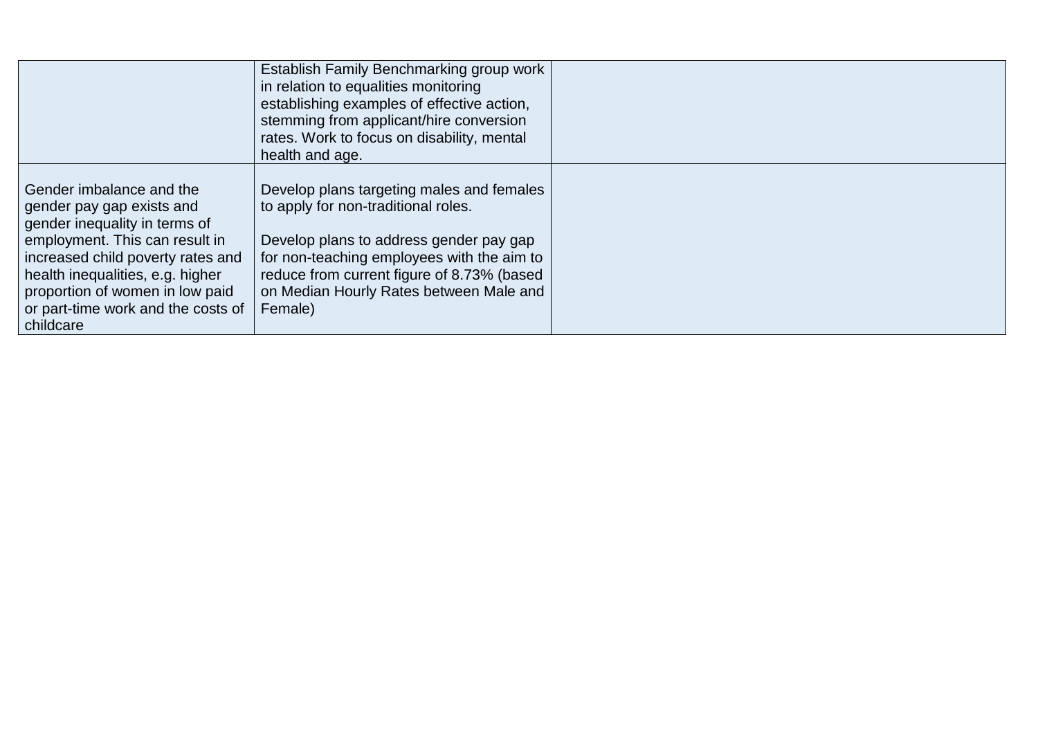|                                                                                                                                                                                                                                                                                         | Establish Family Benchmarking group work<br>in relation to equalities monitoring<br>establishing examples of effective action,<br>stemming from applicant/hire conversion<br>rates. Work to focus on disability, mental<br>health and age.                                    |  |
|-----------------------------------------------------------------------------------------------------------------------------------------------------------------------------------------------------------------------------------------------------------------------------------------|-------------------------------------------------------------------------------------------------------------------------------------------------------------------------------------------------------------------------------------------------------------------------------|--|
| Gender imbalance and the<br>gender pay gap exists and<br>gender inequality in terms of<br>employment. This can result in<br>increased child poverty rates and<br>health inequalities, e.g. higher<br>proportion of women in low paid<br>or part-time work and the costs of<br>childcare | Develop plans targeting males and females<br>to apply for non-traditional roles.<br>Develop plans to address gender pay gap<br>for non-teaching employees with the aim to<br>reduce from current figure of 8.73% (based<br>on Median Hourly Rates between Male and<br>Female) |  |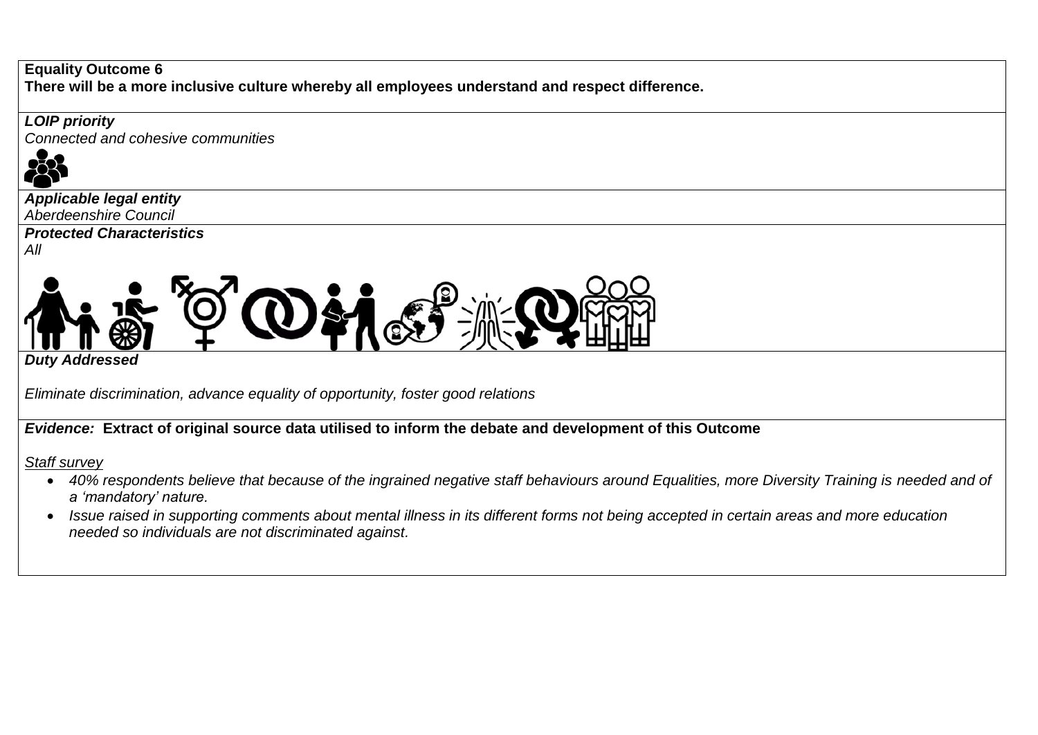#### **Equality Outcome 6 There will be a more inclusive culture whereby all employees understand and respect difference.**

### *LOIP priority*

*Connected and cohesive communities*



*Applicable legal entity Aberdeenshire Council* 

*Protected Characteristics*

*All*



*Duty Addressed*

*Eliminate discrimination, advance equality of opportunity, foster good relations*

*Evidence:* **Extract of original source data utilised to inform the debate and development of this Outcome** 

### *Staff survey*

- 40% respondents believe that because of the ingrained negative staff behaviours around Equalities, more Diversity Training is needed and of *a 'mandatory' nature.*
- *Issue raised in supporting comments about mental illness in its different forms not being accepted in certain areas and more education needed so individuals are not discriminated against.*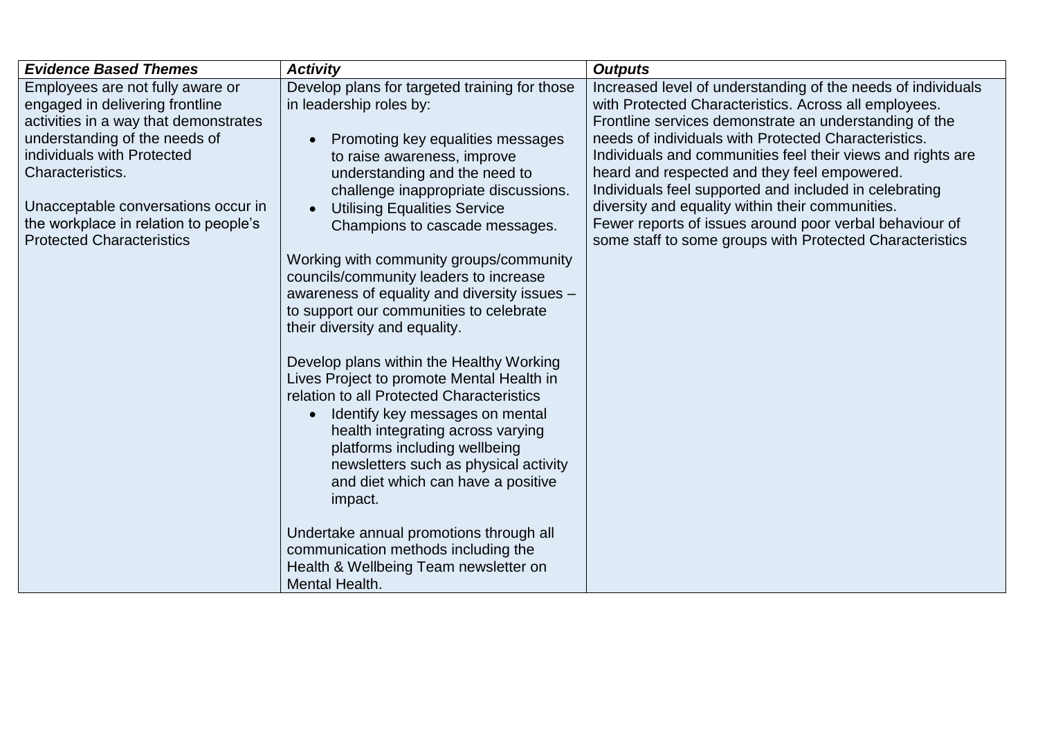| <b>Evidence Based Themes</b>          | <b>Activity</b>                                                       | <b>Outputs</b>                                                                                             |
|---------------------------------------|-----------------------------------------------------------------------|------------------------------------------------------------------------------------------------------------|
| Employees are not fully aware or      | Develop plans for targeted training for those                         | Increased level of understanding of the needs of individuals                                               |
| engaged in delivering frontline       | in leadership roles by:                                               | with Protected Characteristics. Across all employees.                                                      |
| activities in a way that demonstrates |                                                                       | Frontline services demonstrate an understanding of the                                                     |
| understanding of the needs of         | Promoting key equalities messages                                     | needs of individuals with Protected Characteristics.                                                       |
| individuals with Protected            | to raise awareness, improve                                           | Individuals and communities feel their views and rights are                                                |
| Characteristics.                      | understanding and the need to                                         | heard and respected and they feel empowered.                                                               |
| Unacceptable conversations occur in   | challenge inappropriate discussions.                                  | Individuals feel supported and included in celebrating<br>diversity and equality within their communities. |
| the workplace in relation to people's | <b>Utilising Equalities Service</b><br>Champions to cascade messages. | Fewer reports of issues around poor verbal behaviour of                                                    |
| <b>Protected Characteristics</b>      |                                                                       | some staff to some groups with Protected Characteristics                                                   |
|                                       | Working with community groups/community                               |                                                                                                            |
|                                       | councils/community leaders to increase                                |                                                                                                            |
|                                       | awareness of equality and diversity issues -                          |                                                                                                            |
|                                       | to support our communities to celebrate                               |                                                                                                            |
|                                       | their diversity and equality.                                         |                                                                                                            |
|                                       |                                                                       |                                                                                                            |
|                                       | Develop plans within the Healthy Working                              |                                                                                                            |
|                                       | Lives Project to promote Mental Health in                             |                                                                                                            |
|                                       | relation to all Protected Characteristics                             |                                                                                                            |
|                                       | Identify key messages on mental<br>$\bullet$                          |                                                                                                            |
|                                       | health integrating across varying                                     |                                                                                                            |
|                                       | platforms including wellbeing                                         |                                                                                                            |
|                                       | newsletters such as physical activity                                 |                                                                                                            |
|                                       | and diet which can have a positive<br>impact.                         |                                                                                                            |
|                                       |                                                                       |                                                                                                            |
|                                       | Undertake annual promotions through all                               |                                                                                                            |
|                                       | communication methods including the                                   |                                                                                                            |
|                                       | Health & Wellbeing Team newsletter on                                 |                                                                                                            |
|                                       | Mental Health.                                                        |                                                                                                            |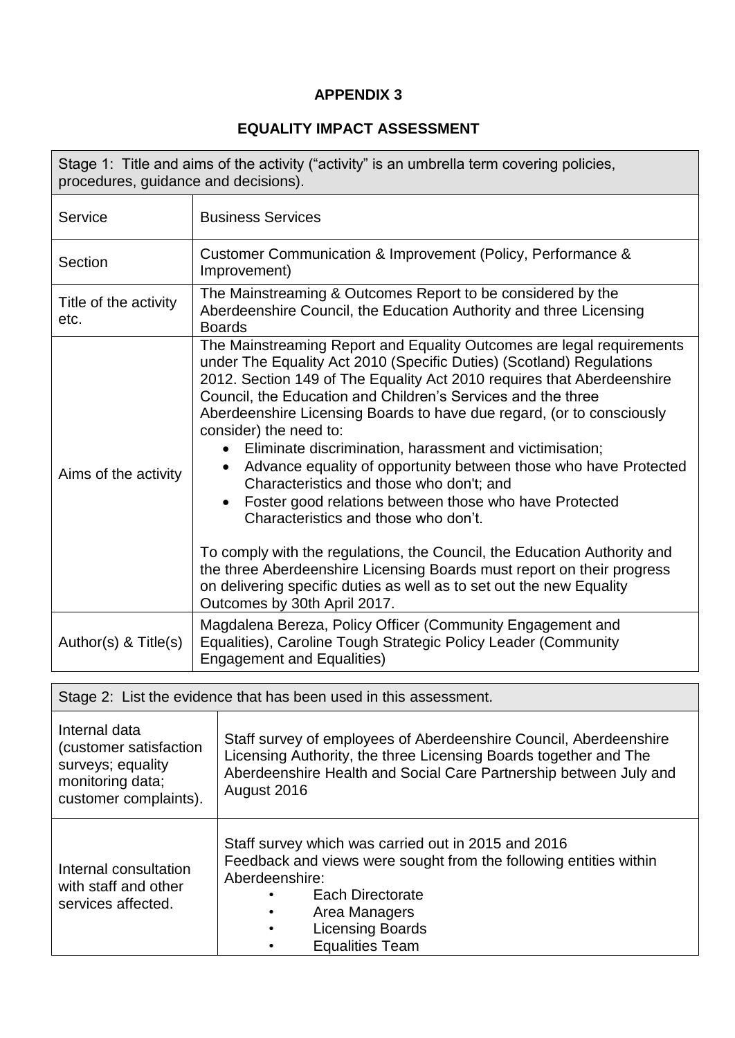## **APPENDIX 3**

# **EQUALITY IMPACT ASSESSMENT**

| procedures, guidance and decisions). | Stage 1: Title and aims of the activity ("activity" is an umbrella term covering policies,                                                                                                                                                                                                                                                                                                                                                                                                                                                                                                                                                                                                                                                                                                                                                                                                                                                         |
|--------------------------------------|----------------------------------------------------------------------------------------------------------------------------------------------------------------------------------------------------------------------------------------------------------------------------------------------------------------------------------------------------------------------------------------------------------------------------------------------------------------------------------------------------------------------------------------------------------------------------------------------------------------------------------------------------------------------------------------------------------------------------------------------------------------------------------------------------------------------------------------------------------------------------------------------------------------------------------------------------|
| Service                              | <b>Business Services</b>                                                                                                                                                                                                                                                                                                                                                                                                                                                                                                                                                                                                                                                                                                                                                                                                                                                                                                                           |
| Section                              | Customer Communication & Improvement (Policy, Performance &<br>Improvement)                                                                                                                                                                                                                                                                                                                                                                                                                                                                                                                                                                                                                                                                                                                                                                                                                                                                        |
| Title of the activity<br>etc.        | The Mainstreaming & Outcomes Report to be considered by the<br>Aberdeenshire Council, the Education Authority and three Licensing<br><b>Boards</b>                                                                                                                                                                                                                                                                                                                                                                                                                                                                                                                                                                                                                                                                                                                                                                                                 |
| Aims of the activity                 | The Mainstreaming Report and Equality Outcomes are legal requirements<br>under The Equality Act 2010 (Specific Duties) (Scotland) Regulations<br>2012. Section 149 of The Equality Act 2010 requires that Aberdeenshire<br>Council, the Education and Children's Services and the three<br>Aberdeenshire Licensing Boards to have due regard, (or to consciously<br>consider) the need to:<br>Eliminate discrimination, harassment and victimisation;<br>$\bullet$<br>Advance equality of opportunity between those who have Protected<br>Characteristics and those who don't; and<br>Foster good relations between those who have Protected<br>Characteristics and those who don't.<br>To comply with the regulations, the Council, the Education Authority and<br>the three Aberdeenshire Licensing Boards must report on their progress<br>on delivering specific duties as well as to set out the new Equality<br>Outcomes by 30th April 2017. |
| Author(s) & Title(s)                 | Magdalena Bereza, Policy Officer (Community Engagement and<br>Equalities), Caroline Tough Strategic Policy Leader (Community<br><b>Engagement and Equalities)</b>                                                                                                                                                                                                                                                                                                                                                                                                                                                                                                                                                                                                                                                                                                                                                                                  |
|                                      | Stage 2: List the evidence that has been used in this assessment.                                                                                                                                                                                                                                                                                                                                                                                                                                                                                                                                                                                                                                                                                                                                                                                                                                                                                  |
|                                      |                                                                                                                                                                                                                                                                                                                                                                                                                                                                                                                                                                                                                                                                                                                                                                                                                                                                                                                                                    |

| Internal data<br>(customer satisfaction<br>surveys; equality<br>monitoring data;<br>customer complaints). | Staff survey of employees of Aberdeenshire Council, Aberdeenshire<br>Licensing Authority, the three Licensing Boards together and The<br>Aberdeenshire Health and Social Care Partnership between July and<br>August 2016                         |
|-----------------------------------------------------------------------------------------------------------|---------------------------------------------------------------------------------------------------------------------------------------------------------------------------------------------------------------------------------------------------|
| Internal consultation<br>with staff and other<br>services affected.                                       | Staff survey which was carried out in 2015 and 2016<br>Feedback and views were sought from the following entities within<br>Aberdeenshire:<br>Each Directorate<br>Area Managers<br><b>Licensing Boards</b><br>$\bullet$<br><b>Equalities Team</b> |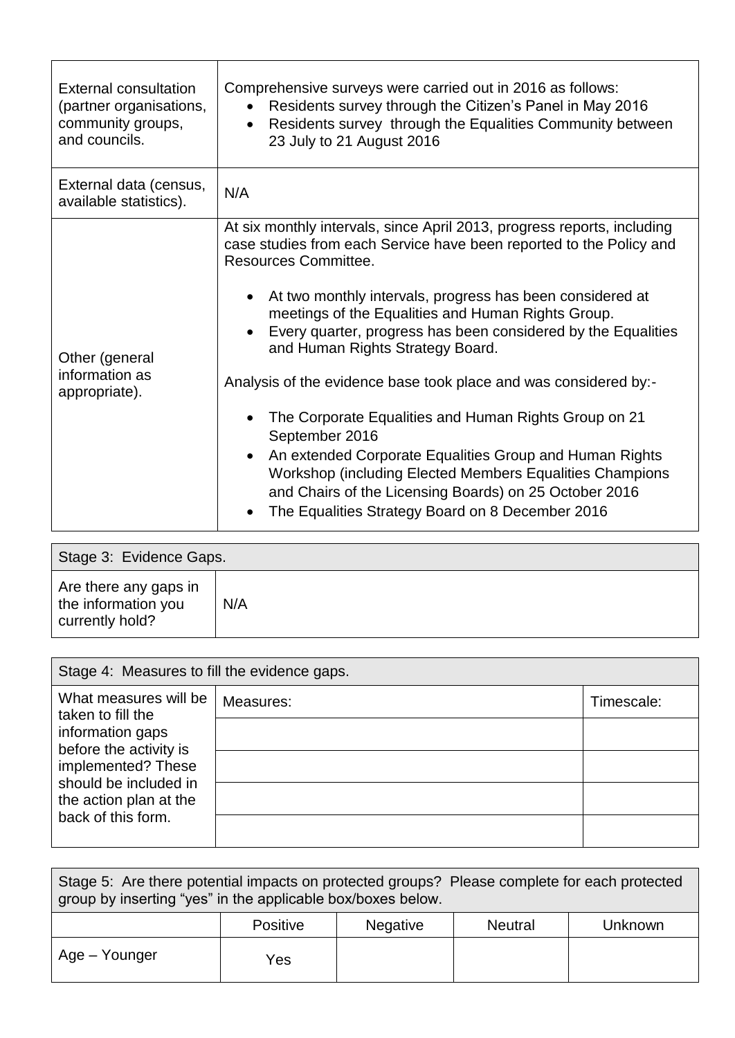| External consultation<br>(partner organisations,<br>community groups,<br>and councils. | Comprehensive surveys were carried out in 2016 as follows:<br>Residents survey through the Citizen's Panel in May 2016<br>$\bullet$<br>• Residents survey through the Equalities Community between<br>23 July to 21 August 2016                                                                                                                                                                                                                                                                                                                                                                                                                                                                                                                                                           |
|----------------------------------------------------------------------------------------|-------------------------------------------------------------------------------------------------------------------------------------------------------------------------------------------------------------------------------------------------------------------------------------------------------------------------------------------------------------------------------------------------------------------------------------------------------------------------------------------------------------------------------------------------------------------------------------------------------------------------------------------------------------------------------------------------------------------------------------------------------------------------------------------|
| External data (census,<br>available statistics).                                       | N/A                                                                                                                                                                                                                                                                                                                                                                                                                                                                                                                                                                                                                                                                                                                                                                                       |
| Other (general<br>information as<br>appropriate).                                      | At six monthly intervals, since April 2013, progress reports, including<br>case studies from each Service have been reported to the Policy and<br><b>Resources Committee.</b><br>At two monthly intervals, progress has been considered at<br>meetings of the Equalities and Human Rights Group.<br>Every quarter, progress has been considered by the Equalities<br>and Human Rights Strategy Board.<br>Analysis of the evidence base took place and was considered by:-<br>The Corporate Equalities and Human Rights Group on 21<br>September 2016<br>An extended Corporate Equalities Group and Human Rights<br>Workshop (including Elected Members Equalities Champions<br>and Chairs of the Licensing Boards) on 25 October 2016<br>The Equalities Strategy Board on 8 December 2016 |

| Stage 3: Evidence Gaps.                                         |     |
|-----------------------------------------------------------------|-----|
| Are there any gaps in<br>the information you<br>currently hold? | N/A |

| Stage 4: Measures to fill the evidence gaps.                                                                                                                                            |           |            |  |  |
|-----------------------------------------------------------------------------------------------------------------------------------------------------------------------------------------|-----------|------------|--|--|
| What measures will be<br>taken to fill the<br>information gaps<br>before the activity is<br>implemented? These<br>should be included in<br>the action plan at the<br>back of this form. | Measures: | Timescale: |  |  |
|                                                                                                                                                                                         |           |            |  |  |
|                                                                                                                                                                                         |           |            |  |  |
|                                                                                                                                                                                         |           |            |  |  |
|                                                                                                                                                                                         |           |            |  |  |

| Stage 5: Are there potential impacts on protected groups? Please complete for each protected<br>group by inserting "yes" in the applicable box/boxes below. |     |  |  |  |  |  |  |  |
|-------------------------------------------------------------------------------------------------------------------------------------------------------------|-----|--|--|--|--|--|--|--|
| <b>Positive</b><br>Negative<br><b>Neutral</b><br>Unknown                                                                                                    |     |  |  |  |  |  |  |  |
| Age – Younger                                                                                                                                               | Yes |  |  |  |  |  |  |  |

 $\overline{\phantom{a}}$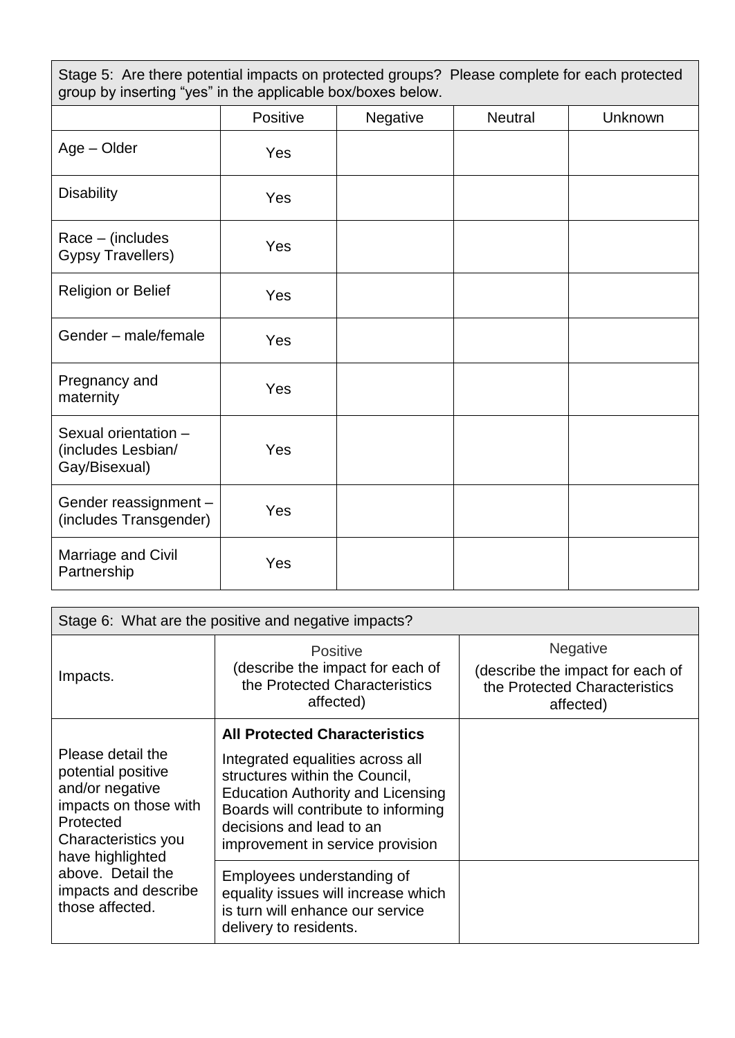Stage 5: Are there potential impacts on protected groups? Please complete for each protected group by inserting "yes" in the applicable box/boxes below.

|                                                             | Positive | Negative | <b>Neutral</b> | <b>Unknown</b> |
|-------------------------------------------------------------|----------|----------|----------------|----------------|
| Age - Older                                                 | Yes      |          |                |                |
| <b>Disability</b>                                           | Yes      |          |                |                |
| Race - (includes<br><b>Gypsy Travellers)</b>                | Yes      |          |                |                |
| Religion or Belief                                          | Yes      |          |                |                |
| Gender - male/female                                        | Yes      |          |                |                |
| Pregnancy and<br>maternity                                  | Yes      |          |                |                |
| Sexual orientation -<br>(includes Lesbian/<br>Gay/Bisexual) | Yes      |          |                |                |
| Gender reassignment -<br>(includes Transgender)             | Yes      |          |                |                |
| Marriage and Civil<br>Partnership                           | Yes      |          |                |                |

| Stage 6: What are the positive and negative impacts?                                                                                        |                                                                                                                                                                                                                       |                                                                                                   |  |  |  |
|---------------------------------------------------------------------------------------------------------------------------------------------|-----------------------------------------------------------------------------------------------------------------------------------------------------------------------------------------------------------------------|---------------------------------------------------------------------------------------------------|--|--|--|
| Impacts.                                                                                                                                    | <b>Positive</b><br>(describe the impact for each of<br>the Protected Characteristics<br>affected)                                                                                                                     | <b>Negative</b><br>(describe the impact for each of<br>the Protected Characteristics<br>affected) |  |  |  |
|                                                                                                                                             | <b>All Protected Characteristics</b>                                                                                                                                                                                  |                                                                                                   |  |  |  |
| Please detail the<br>potential positive<br>and/or negative<br>impacts on those with<br>Protected<br>Characteristics you<br>have highlighted | Integrated equalities across all<br>structures within the Council,<br><b>Education Authority and Licensing</b><br>Boards will contribute to informing<br>decisions and lead to an<br>improvement in service provision |                                                                                                   |  |  |  |
| above. Detail the<br>impacts and describe<br>those affected.                                                                                | Employees understanding of<br>equality issues will increase which<br>is turn will enhance our service<br>delivery to residents.                                                                                       |                                                                                                   |  |  |  |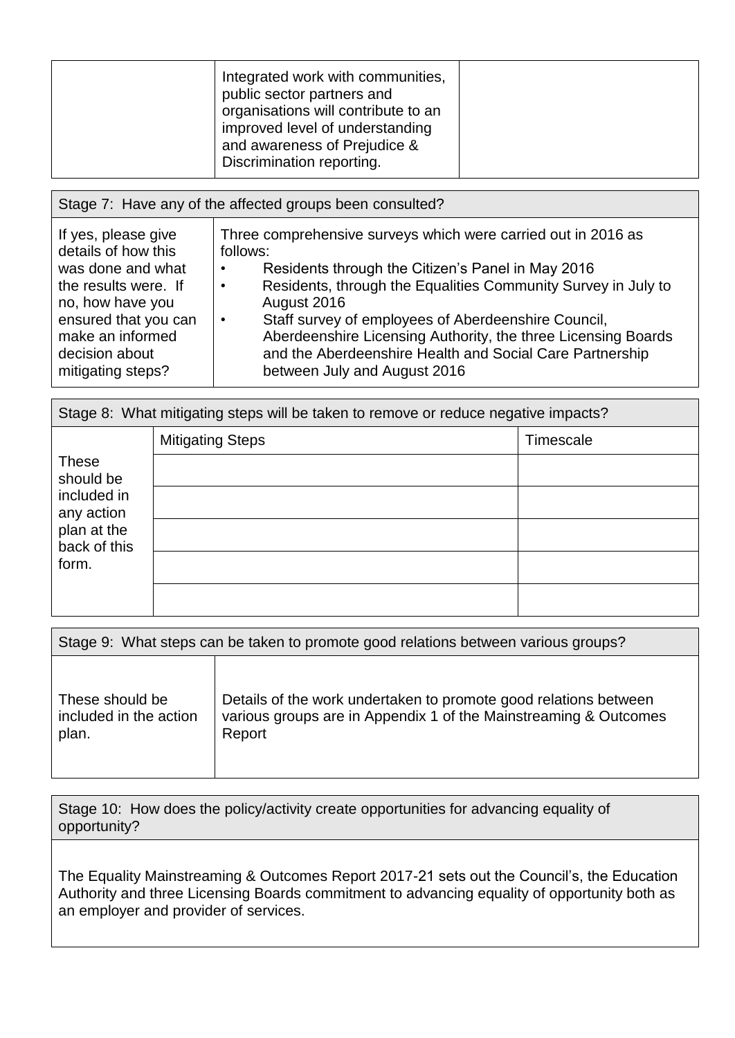| Integrated work with communities,<br>public sector partners and<br>organisations will contribute to an<br>improved level of understanding<br>and awareness of Prejudice &<br>Discrimination reporting. |
|--------------------------------------------------------------------------------------------------------------------------------------------------------------------------------------------------------|
|--------------------------------------------------------------------------------------------------------------------------------------------------------------------------------------------------------|

| Stage 7: Have any of the affected groups been consulted?                                                                                                                                       |                                                                                                                                                                                                                                                                                                                                                                                                                                         |  |  |  |  |
|------------------------------------------------------------------------------------------------------------------------------------------------------------------------------------------------|-----------------------------------------------------------------------------------------------------------------------------------------------------------------------------------------------------------------------------------------------------------------------------------------------------------------------------------------------------------------------------------------------------------------------------------------|--|--|--|--|
| If yes, please give<br>details of how this<br>was done and what<br>the results were. If<br>no, how have you<br>ensured that you can<br>make an informed<br>decision about<br>mitigating steps? | Three comprehensive surveys which were carried out in 2016 as<br>follows:<br>Residents through the Citizen's Panel in May 2016<br>٠<br>Residents, through the Equalities Community Survey in July to<br>August 2016<br>Staff survey of employees of Aberdeenshire Council,<br>Aberdeenshire Licensing Authority, the three Licensing Boards<br>and the Aberdeenshire Health and Social Care Partnership<br>between July and August 2016 |  |  |  |  |

| Stage 8: What mitigating steps will be taken to remove or reduce negative impacts?             |                         |           |  |  |
|------------------------------------------------------------------------------------------------|-------------------------|-----------|--|--|
|                                                                                                | <b>Mitigating Steps</b> | Timescale |  |  |
| <b>These</b><br>should be<br>included in<br>any action<br>plan at the<br>back of this<br>form. |                         |           |  |  |
|                                                                                                |                         |           |  |  |
|                                                                                                |                         |           |  |  |
|                                                                                                |                         |           |  |  |
|                                                                                                |                         |           |  |  |

| Stage 9: What steps can be taken to promote good relations between various groups? |                                                                  |  |  |  |
|------------------------------------------------------------------------------------|------------------------------------------------------------------|--|--|--|
| These should be                                                                    | Details of the work undertaken to promote good relations between |  |  |  |
| included in the action                                                             | various groups are in Appendix 1 of the Mainstreaming & Outcomes |  |  |  |
| plan.                                                                              | Report                                                           |  |  |  |

Stage 10: How does the policy/activity create opportunities for advancing equality of opportunity?

The Equality Mainstreaming & Outcomes Report 2017-21 sets out the Council's, the Education Authority and three Licensing Boards commitment to advancing equality of opportunity both as an employer and provider of services.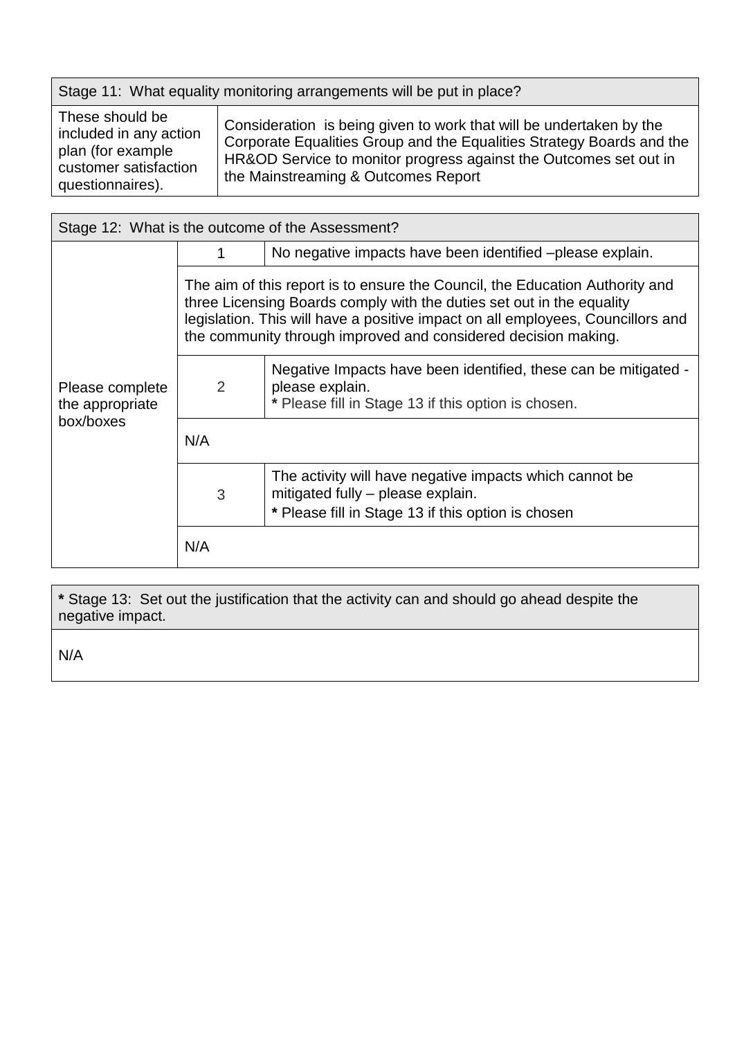| Stage 11: What equality monitoring arrangements will be put in place? |                                                                                                                                              |  |  |  |
|-----------------------------------------------------------------------|----------------------------------------------------------------------------------------------------------------------------------------------|--|--|--|
| These should be<br>included in any action<br>plan <i>(for ovemple</i> | Consideration is being given to work that will be undertaken by the<br>Corporate Equalities Group and the Equalities Strategy Boards and the |  |  |  |

plan (for example customer satisfaction questionnaires). HR&OD Service to monitor progress against the Outcomes set out in the Mainstreaming & Outcomes Report

| Stage 12: What is the outcome of the Assessment? |                                                                                                                                                                                                                                                                                                            |                                                                                                                                                    |  |  |  |
|--------------------------------------------------|------------------------------------------------------------------------------------------------------------------------------------------------------------------------------------------------------------------------------------------------------------------------------------------------------------|----------------------------------------------------------------------------------------------------------------------------------------------------|--|--|--|
|                                                  | 1                                                                                                                                                                                                                                                                                                          | No negative impacts have been identified – please explain.                                                                                         |  |  |  |
|                                                  | The aim of this report is to ensure the Council, the Education Authority and<br>three Licensing Boards comply with the duties set out in the equality<br>legislation. This will have a positive impact on all employees, Councillors and<br>the community through improved and considered decision making. |                                                                                                                                                    |  |  |  |
| Please complete<br>the appropriate<br>box/boxes  | 2                                                                                                                                                                                                                                                                                                          | Negative Impacts have been identified, these can be mitigated -<br>please explain.<br>* Please fill in Stage 13 if this option is chosen.          |  |  |  |
|                                                  | N/A                                                                                                                                                                                                                                                                                                        |                                                                                                                                                    |  |  |  |
|                                                  | 3                                                                                                                                                                                                                                                                                                          | The activity will have negative impacts which cannot be<br>mitigated fully - please explain.<br>* Please fill in Stage 13 if this option is chosen |  |  |  |
|                                                  | N/A                                                                                                                                                                                                                                                                                                        |                                                                                                                                                    |  |  |  |

**\*** Stage 13: Set out the justification that the activity can and should go ahead despite the negative impact.

N/A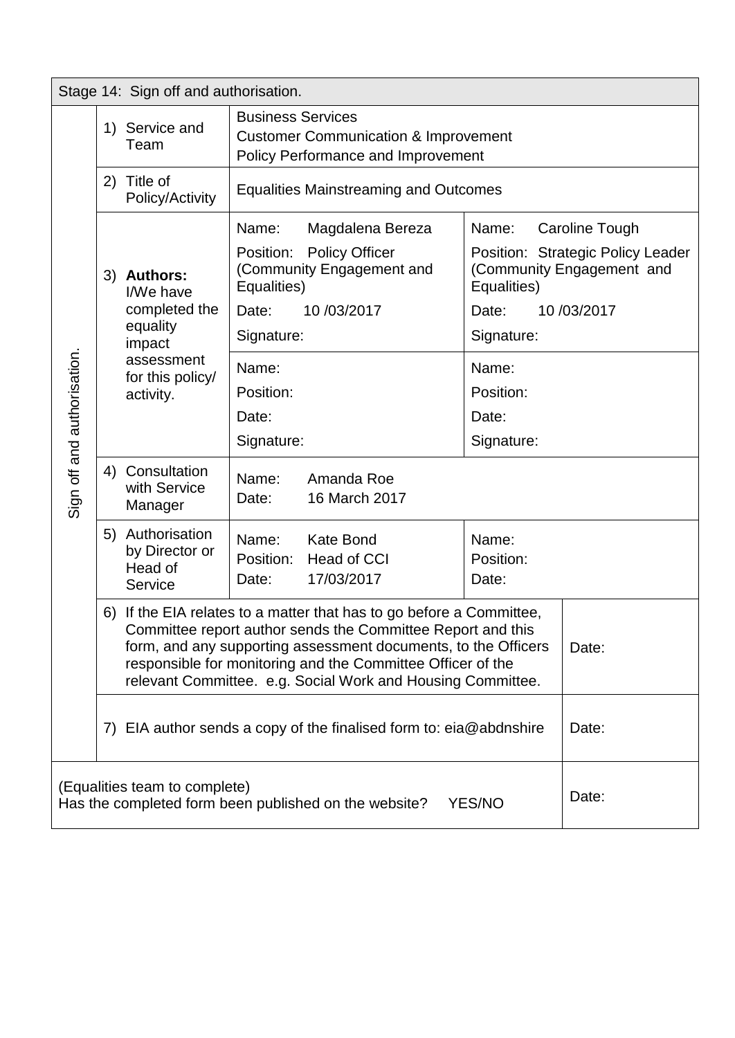|                                                                                                           | Stage 14: Sign off and authorisation.                                                                                                                                                                                                                                                                                                        |                                                                                                   |                                                                                                                                                                          |                                                                                         |                                                      |                                                                                                       |
|-----------------------------------------------------------------------------------------------------------|----------------------------------------------------------------------------------------------------------------------------------------------------------------------------------------------------------------------------------------------------------------------------------------------------------------------------------------------|---------------------------------------------------------------------------------------------------|--------------------------------------------------------------------------------------------------------------------------------------------------------------------------|-----------------------------------------------------------------------------------------|------------------------------------------------------|-------------------------------------------------------------------------------------------------------|
|                                                                                                           |                                                                                                                                                                                                                                                                                                                                              | 1) Service and<br>Team                                                                            | <b>Business Services</b><br><b>Customer Communication &amp; Improvement</b><br><b>Policy Performance and Improvement</b><br><b>Equalities Mainstreaming and Outcomes</b> |                                                                                         |                                                      |                                                                                                       |
|                                                                                                           | 2)                                                                                                                                                                                                                                                                                                                                           | Title of<br>Policy/Activity                                                                       |                                                                                                                                                                          |                                                                                         |                                                      |                                                                                                       |
|                                                                                                           |                                                                                                                                                                                                                                                                                                                                              | 3) Authors:<br>I/We have<br>completed the<br>equality<br>impact<br>assessment<br>for this policy/ | Name:<br>Equalities)<br>Date:<br>Signature:<br>Name:                                                                                                                     | Magdalena Bereza<br>Position: Policy Officer<br>(Community Engagement and<br>10/03/2017 | Name:<br>Equalities)<br>Date:<br>Signature:<br>Name: | <b>Caroline Tough</b><br>Position: Strategic Policy Leader<br>(Community Engagement and<br>10/03/2017 |
| Sign off and authorisation.                                                                               | activity.                                                                                                                                                                                                                                                                                                                                    |                                                                                                   | Position:<br>Date:<br>Signature:                                                                                                                                         |                                                                                         | Position:<br>Date:<br>Signature:                     |                                                                                                       |
|                                                                                                           |                                                                                                                                                                                                                                                                                                                                              | 4) Consultation<br>with Service<br>Manager                                                        | Name:<br>Date:                                                                                                                                                           | Amanda Roe<br>16 March 2017                                                             |                                                      |                                                                                                       |
|                                                                                                           |                                                                                                                                                                                                                                                                                                                                              | 5) Authorisation<br>by Director or<br>Head of<br>Service                                          | Name:<br>Position:<br>Date:                                                                                                                                              | <b>Kate Bond</b><br>Head of CCI<br>17/03/2017                                           | Name:<br>Position:<br>Date:                          |                                                                                                       |
|                                                                                                           | 6) If the EIA relates to a matter that has to go before a Committee,<br>Committee report author sends the Committee Report and this<br>form, and any supporting assessment documents, to the Officers<br>Date:<br>responsible for monitoring and the Committee Officer of the<br>relevant Committee. e.g. Social Work and Housing Committee. |                                                                                                   |                                                                                                                                                                          |                                                                                         |                                                      |                                                                                                       |
|                                                                                                           | EIA author sends a copy of the finalised form to: $eia@abdnshire$<br>Date:<br>7)                                                                                                                                                                                                                                                             |                                                                                                   |                                                                                                                                                                          |                                                                                         |                                                      |                                                                                                       |
| (Equalities team to complete)<br>Date:<br>Has the completed form been published on the website?<br>YES/NO |                                                                                                                                                                                                                                                                                                                                              |                                                                                                   |                                                                                                                                                                          |                                                                                         |                                                      |                                                                                                       |